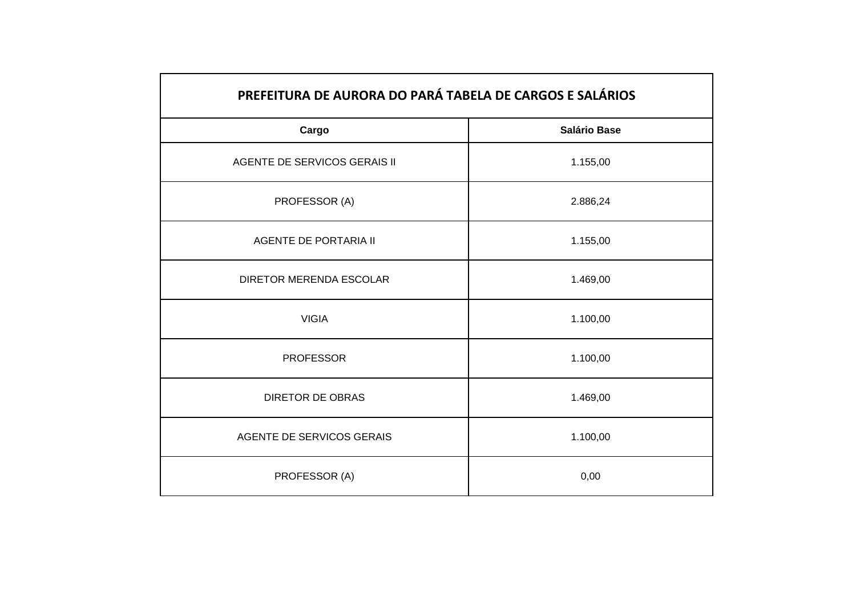| PREFEITURA DE AURORA DO PARÁ TABELA DE CARGOS E SALÁRIOS |                     |
|----------------------------------------------------------|---------------------|
| Cargo                                                    | <b>Salário Base</b> |
| AGENTE DE SERVICOS GERAIS II                             | 1.155,00            |
| PROFESSOR (A)                                            | 2.886,24            |
| <b>AGENTE DE PORTARIA II</b>                             | 1.155,00            |
| DIRETOR MERENDA ESCOLAR                                  | 1.469,00            |
| <b>VIGIA</b>                                             | 1.100,00            |
| <b>PROFESSOR</b>                                         | 1.100,00            |
| <b>DIRETOR DE OBRAS</b>                                  | 1.469,00            |
| AGENTE DE SERVICOS GERAIS                                | 1.100,00            |
| PROFESSOR (A)                                            | 0,00                |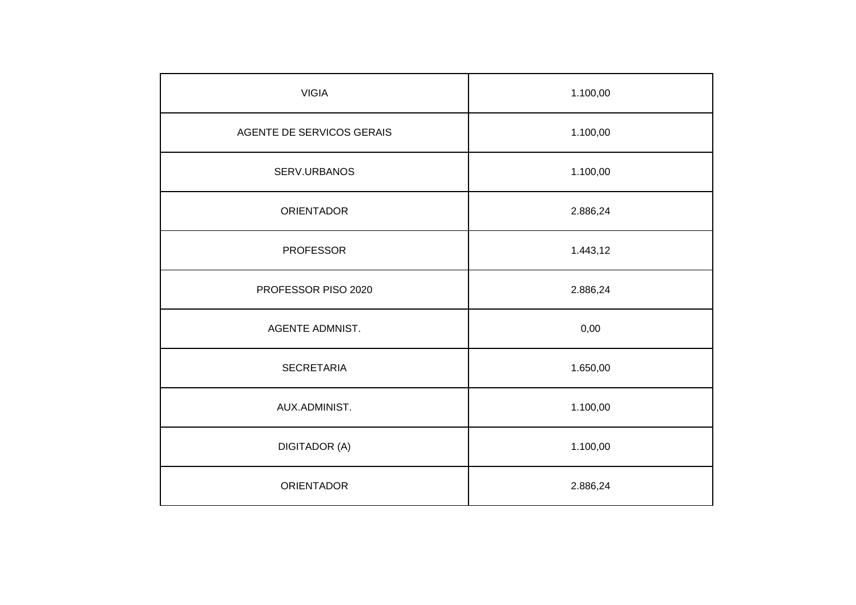| <b>VIGIA</b>              | 1.100,00 |
|---------------------------|----------|
| AGENTE DE SERVICOS GERAIS | 1.100,00 |
| SERV.URBANOS              | 1.100,00 |
| <b>ORIENTADOR</b>         | 2.886,24 |
| <b>PROFESSOR</b>          | 1.443,12 |
| PROFESSOR PISO 2020       | 2.886,24 |
| <b>AGENTE ADMNIST.</b>    | 0,00     |
| <b>SECRETARIA</b>         | 1.650,00 |
| AUX.ADMINIST.             | 1.100,00 |
| <b>DIGITADOR (A)</b>      | 1.100,00 |
| <b>ORIENTADOR</b>         | 2.886,24 |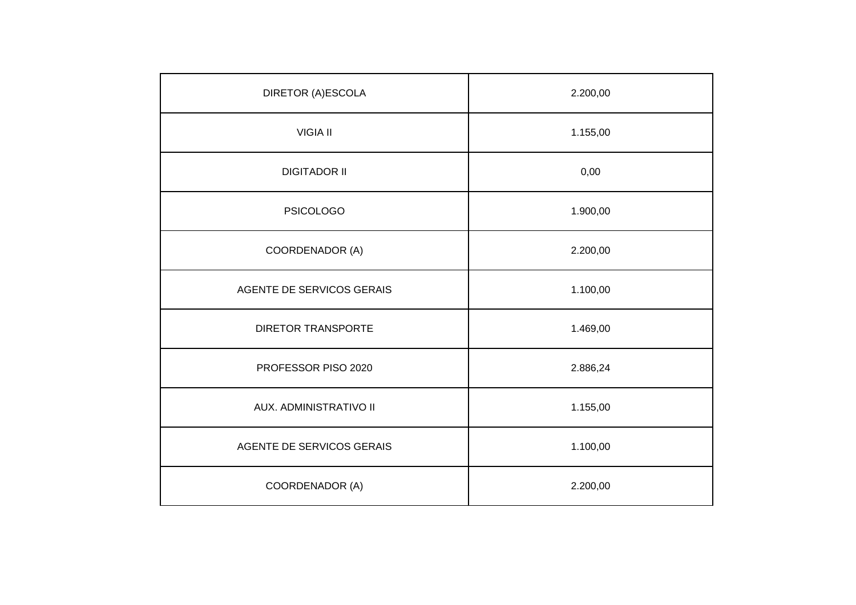| DIRETOR (A)ESCOLA         | 2.200,00 |
|---------------------------|----------|
| <b>VIGIA II</b>           | 1.155,00 |
| <b>DIGITADOR II</b>       | 0,00     |
| <b>PSICOLOGO</b>          | 1.900,00 |
| COORDENADOR (A)           | 2.200,00 |
| AGENTE DE SERVICOS GERAIS | 1.100,00 |
| <b>DIRETOR TRANSPORTE</b> | 1.469,00 |
| PROFESSOR PISO 2020       | 2.886,24 |
| AUX. ADMINISTRATIVO II    | 1.155,00 |
| AGENTE DE SERVICOS GERAIS | 1.100,00 |
| COORDENADOR (A)           | 2.200,00 |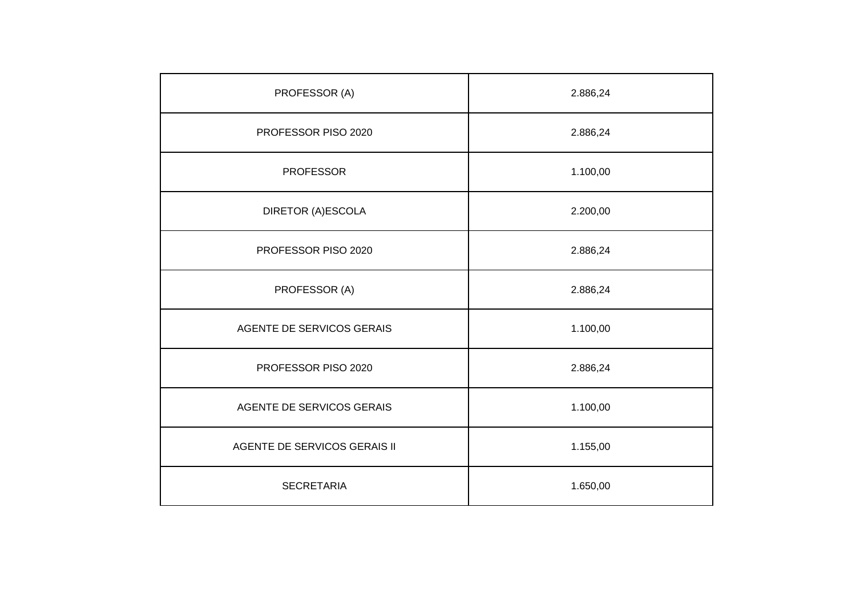| PROFESSOR (A)                | 2.886,24 |
|------------------------------|----------|
| PROFESSOR PISO 2020          | 2.886,24 |
| <b>PROFESSOR</b>             | 1.100,00 |
| DIRETOR (A)ESCOLA            | 2.200,00 |
| PROFESSOR PISO 2020          | 2.886,24 |
| PROFESSOR (A)                | 2.886,24 |
| AGENTE DE SERVICOS GERAIS    | 1.100,00 |
| PROFESSOR PISO 2020          | 2.886,24 |
| AGENTE DE SERVICOS GERAIS    | 1.100,00 |
| AGENTE DE SERVICOS GERAIS II | 1.155,00 |
| <b>SECRETARIA</b>            | 1.650,00 |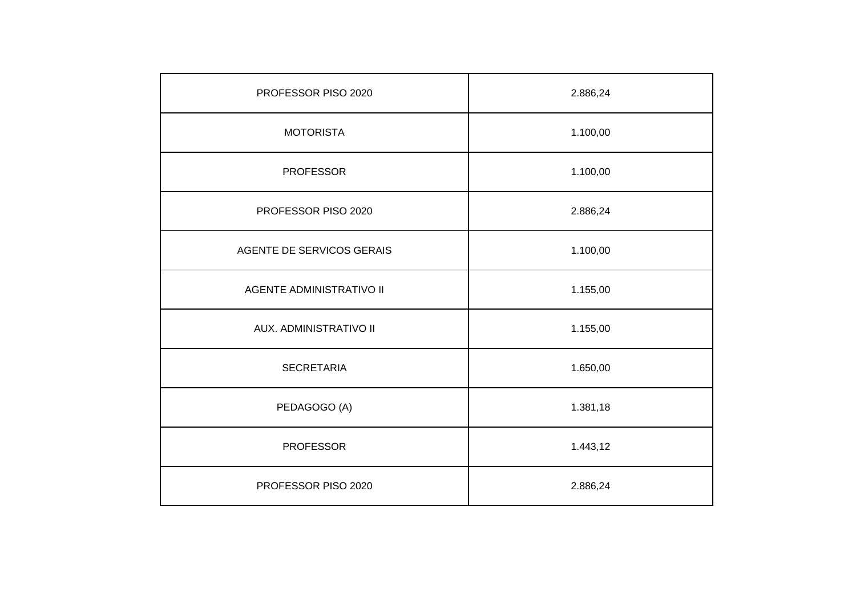| PROFESSOR PISO 2020             | 2.886,24 |
|---------------------------------|----------|
| <b>MOTORISTA</b>                | 1.100,00 |
| <b>PROFESSOR</b>                | 1.100,00 |
| PROFESSOR PISO 2020             | 2.886,24 |
| AGENTE DE SERVICOS GERAIS       | 1.100,00 |
| <b>AGENTE ADMINISTRATIVO II</b> | 1.155,00 |
| AUX. ADMINISTRATIVO II          | 1.155,00 |
| <b>SECRETARIA</b>               | 1.650,00 |
| PEDAGOGO (A)                    | 1.381,18 |
| <b>PROFESSOR</b>                | 1.443,12 |
| PROFESSOR PISO 2020             | 2.886,24 |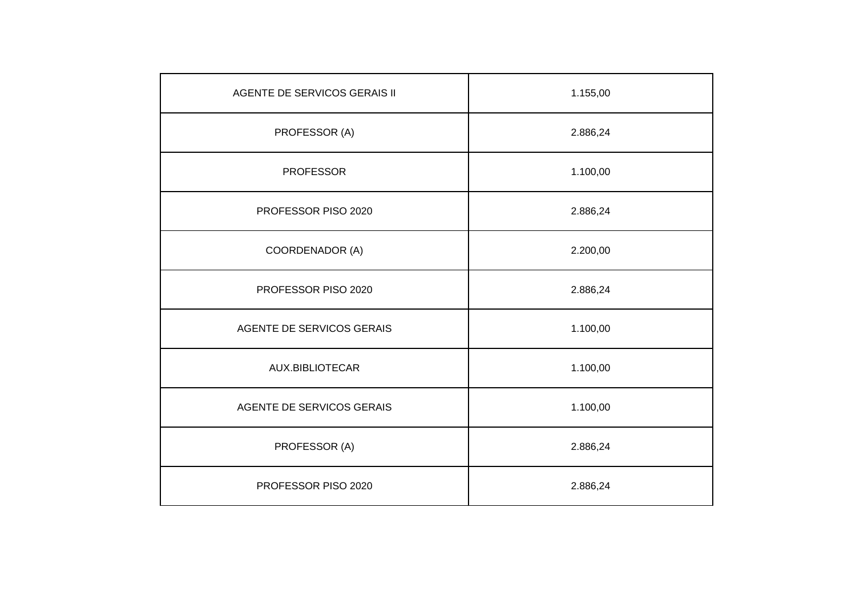| AGENTE DE SERVICOS GERAIS II | 1.155,00 |
|------------------------------|----------|
| PROFESSOR (A)                | 2.886,24 |
| <b>PROFESSOR</b>             | 1.100,00 |
| PROFESSOR PISO 2020          | 2.886,24 |
| COORDENADOR (A)              | 2.200,00 |
| PROFESSOR PISO 2020          | 2.886,24 |
| AGENTE DE SERVICOS GERAIS    | 1.100,00 |
| AUX.BIBLIOTECAR              | 1.100,00 |
| AGENTE DE SERVICOS GERAIS    | 1.100,00 |
| PROFESSOR (A)                | 2.886,24 |
| PROFESSOR PISO 2020          | 2.886,24 |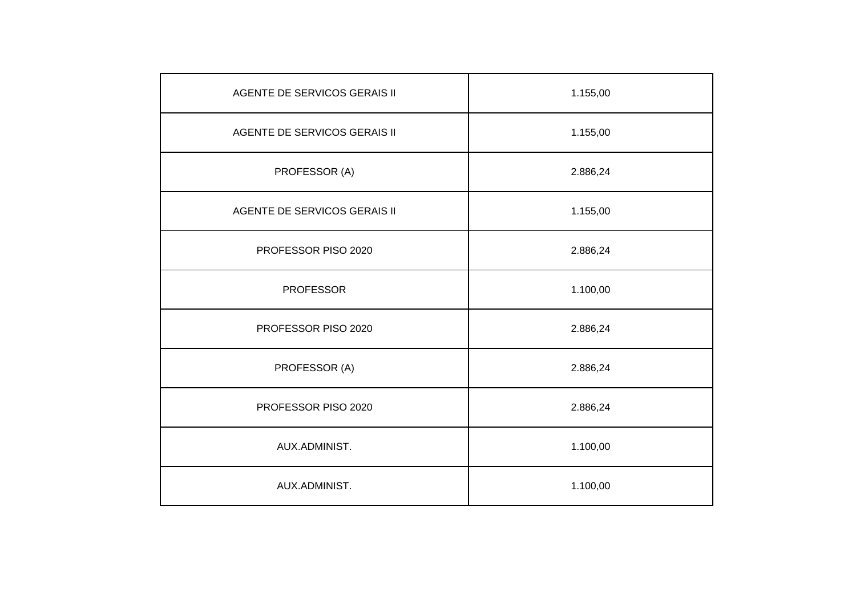| <b>AGENTE DE SERVICOS GERAIS II</b> | 1.155,00 |
|-------------------------------------|----------|
| AGENTE DE SERVICOS GERAIS II        | 1.155,00 |
| PROFESSOR (A)                       | 2.886,24 |
| AGENTE DE SERVICOS GERAIS II        | 1.155,00 |
| PROFESSOR PISO 2020                 | 2.886,24 |
| <b>PROFESSOR</b>                    | 1.100,00 |
| PROFESSOR PISO 2020                 | 2.886,24 |
| PROFESSOR (A)                       | 2.886,24 |
| PROFESSOR PISO 2020                 | 2.886,24 |
| AUX.ADMINIST.                       | 1.100,00 |
| AUX.ADMINIST.                       | 1.100,00 |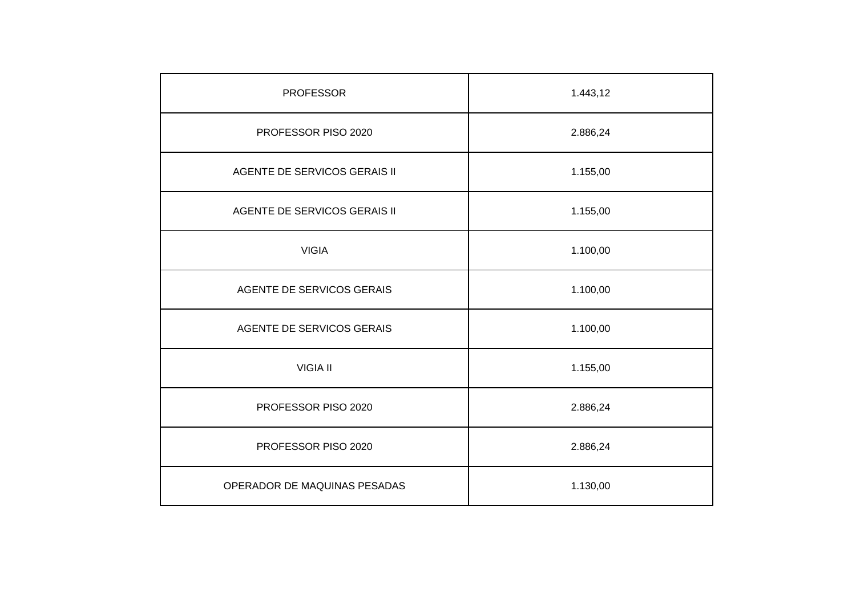| <b>PROFESSOR</b>             | 1.443,12 |
|------------------------------|----------|
| PROFESSOR PISO 2020          | 2.886,24 |
| AGENTE DE SERVICOS GERAIS II | 1.155,00 |
| AGENTE DE SERVICOS GERAIS II | 1.155,00 |
| <b>VIGIA</b>                 | 1.100,00 |
| AGENTE DE SERVICOS GERAIS    | 1.100,00 |
| AGENTE DE SERVICOS GERAIS    | 1.100,00 |
| <b>VIGIA II</b>              | 1.155,00 |
| PROFESSOR PISO 2020          | 2.886,24 |
| PROFESSOR PISO 2020          | 2.886,24 |
| OPERADOR DE MAQUINAS PESADAS | 1.130,00 |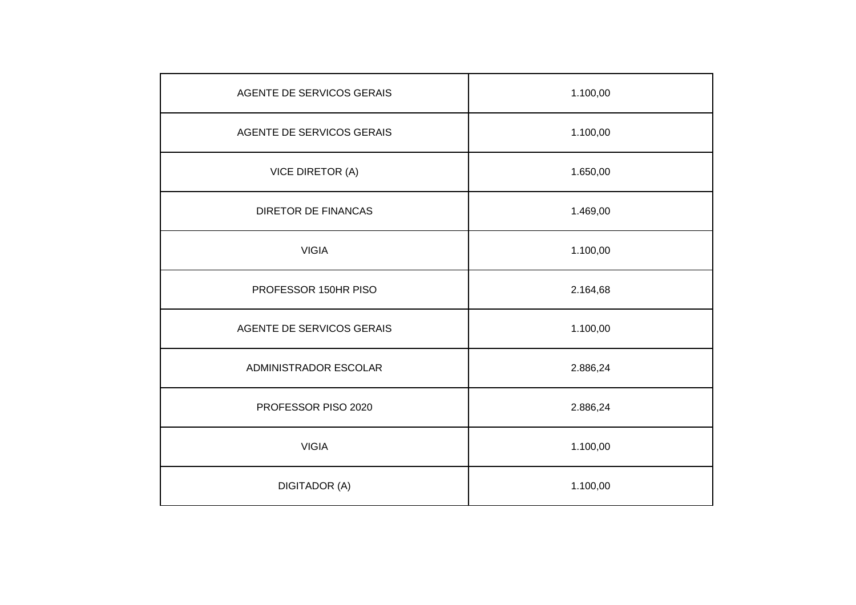| AGENTE DE SERVICOS GERAIS  | 1.100,00 |
|----------------------------|----------|
| AGENTE DE SERVICOS GERAIS  | 1.100,00 |
| VICE DIRETOR (A)           | 1.650,00 |
| <b>DIRETOR DE FINANCAS</b> | 1.469,00 |
| <b>VIGIA</b>               | 1.100,00 |
| PROFESSOR 150HR PISO       | 2.164,68 |
| AGENTE DE SERVICOS GERAIS  | 1.100,00 |
| ADMINISTRADOR ESCOLAR      | 2.886,24 |
| PROFESSOR PISO 2020        | 2.886,24 |
| <b>VIGIA</b>               | 1.100,00 |
| <b>DIGITADOR (A)</b>       | 1.100,00 |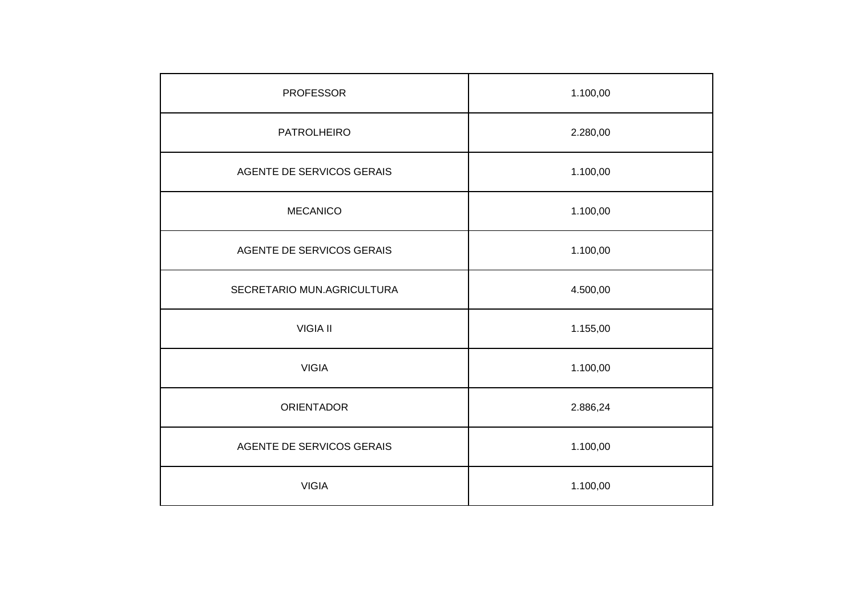| <b>PROFESSOR</b>           | 1.100,00 |
|----------------------------|----------|
| <b>PATROLHEIRO</b>         | 2.280,00 |
| AGENTE DE SERVICOS GERAIS  | 1.100,00 |
| <b>MECANICO</b>            | 1.100,00 |
| AGENTE DE SERVICOS GERAIS  | 1.100,00 |
| SECRETARIO MUN.AGRICULTURA | 4.500,00 |
| <b>VIGIA II</b>            | 1.155,00 |
| <b>VIGIA</b>               | 1.100,00 |
| <b>ORIENTADOR</b>          | 2.886,24 |
| AGENTE DE SERVICOS GERAIS  | 1.100,00 |
| <b>VIGIA</b>               | 1.100,00 |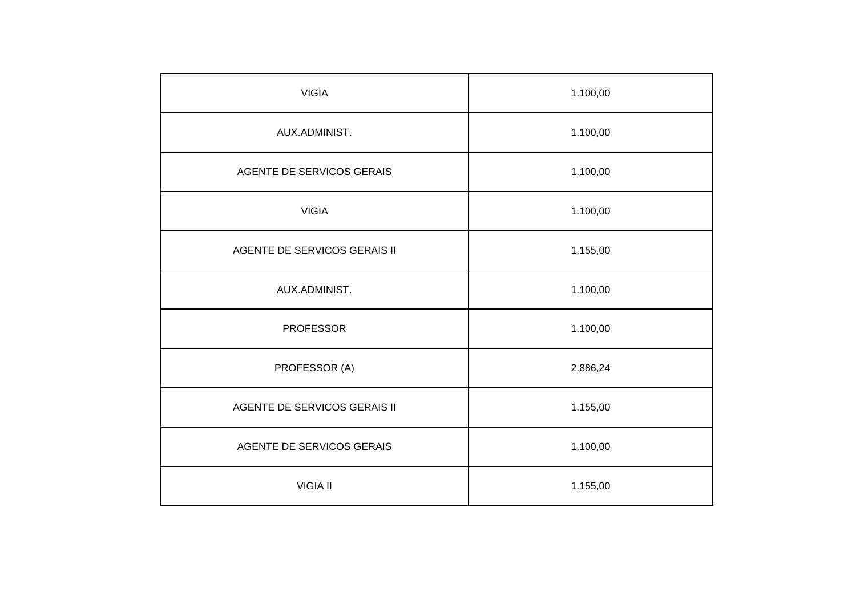| <b>VIGIA</b>                 | 1.100,00 |
|------------------------------|----------|
| AUX.ADMINIST.                | 1.100,00 |
| AGENTE DE SERVICOS GERAIS    | 1.100,00 |
| <b>VIGIA</b>                 | 1.100,00 |
| AGENTE DE SERVICOS GERAIS II | 1.155,00 |
| AUX.ADMINIST.                | 1.100,00 |
| <b>PROFESSOR</b>             | 1.100,00 |
| PROFESSOR (A)                | 2.886,24 |
| AGENTE DE SERVICOS GERAIS II | 1.155,00 |
| AGENTE DE SERVICOS GERAIS    | 1.100,00 |
| <b>VIGIA II</b>              | 1.155,00 |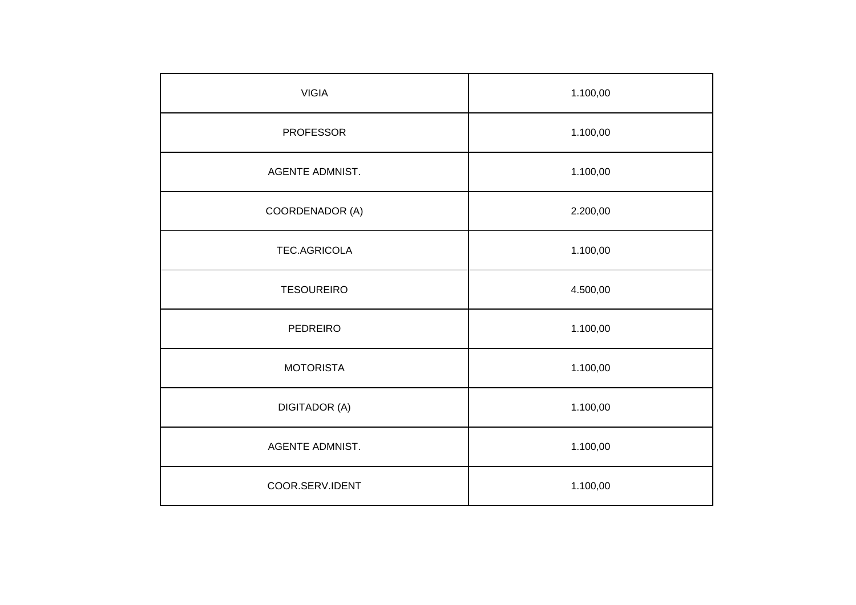| <b>VIGIA</b>           | 1.100,00 |
|------------------------|----------|
| <b>PROFESSOR</b>       | 1.100,00 |
| AGENTE ADMNIST.        | 1.100,00 |
| COORDENADOR (A)        | 2.200,00 |
| TEC.AGRICOLA           | 1.100,00 |
| <b>TESOUREIRO</b>      | 4.500,00 |
| <b>PEDREIRO</b>        | 1.100,00 |
| <b>MOTORISTA</b>       | 1.100,00 |
| <b>DIGITADOR (A)</b>   | 1.100,00 |
| <b>AGENTE ADMNIST.</b> | 1.100,00 |
| COOR.SERV.IDENT        | 1.100,00 |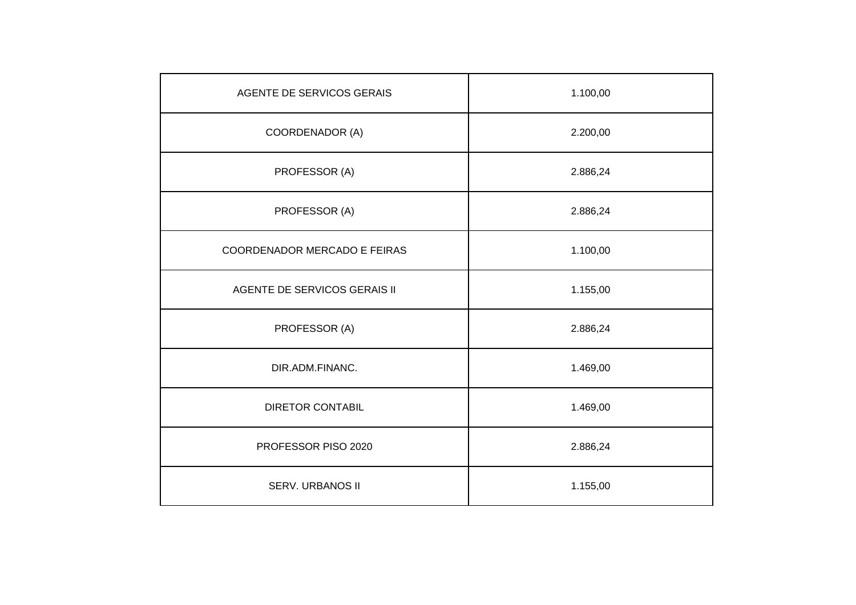| AGENTE DE SERVICOS GERAIS    | 1.100,00 |
|------------------------------|----------|
| COORDENADOR (A)              | 2.200,00 |
| PROFESSOR (A)                | 2.886,24 |
| PROFESSOR (A)                | 2.886,24 |
| COORDENADOR MERCADO E FEIRAS | 1.100,00 |
| AGENTE DE SERVICOS GERAIS II | 1.155,00 |
| PROFESSOR (A)                | 2.886,24 |
| DIR.ADM.FINANC.              | 1.469,00 |
| <b>DIRETOR CONTABIL</b>      | 1.469,00 |
| PROFESSOR PISO 2020          | 2.886,24 |
| SERV. URBANOS II             | 1.155,00 |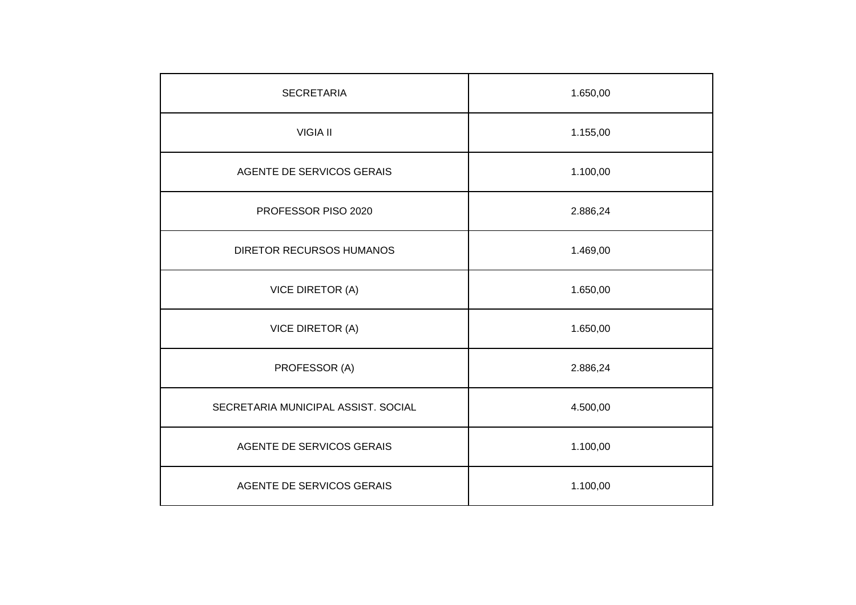| <b>SECRETARIA</b>                   | 1.650,00 |
|-------------------------------------|----------|
| <b>VIGIA II</b>                     | 1.155,00 |
| AGENTE DE SERVICOS GERAIS           | 1.100,00 |
| PROFESSOR PISO 2020                 | 2.886,24 |
| <b>DIRETOR RECURSOS HUMANOS</b>     | 1.469,00 |
| <b>VICE DIRETOR (A)</b>             | 1.650,00 |
| <b>VICE DIRETOR (A)</b>             | 1.650,00 |
| PROFESSOR (A)                       | 2.886,24 |
| SECRETARIA MUNICIPAL ASSIST. SOCIAL | 4.500,00 |
| AGENTE DE SERVICOS GERAIS           | 1.100,00 |
| AGENTE DE SERVICOS GERAIS           | 1.100,00 |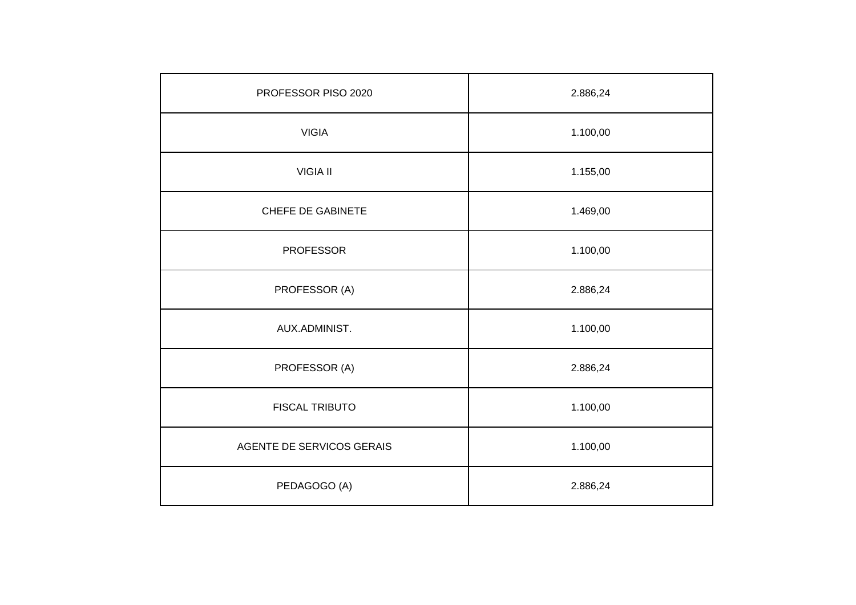| PROFESSOR PISO 2020       | 2.886,24 |
|---------------------------|----------|
| <b>VIGIA</b>              | 1.100,00 |
| <b>VIGIA II</b>           | 1.155,00 |
| <b>CHEFE DE GABINETE</b>  | 1.469,00 |
| <b>PROFESSOR</b>          | 1.100,00 |
| PROFESSOR (A)             | 2.886,24 |
| AUX.ADMINIST.             | 1.100,00 |
| PROFESSOR (A)             | 2.886,24 |
| <b>FISCAL TRIBUTO</b>     | 1.100,00 |
| AGENTE DE SERVICOS GERAIS | 1.100,00 |
| PEDAGOGO (A)              | 2.886,24 |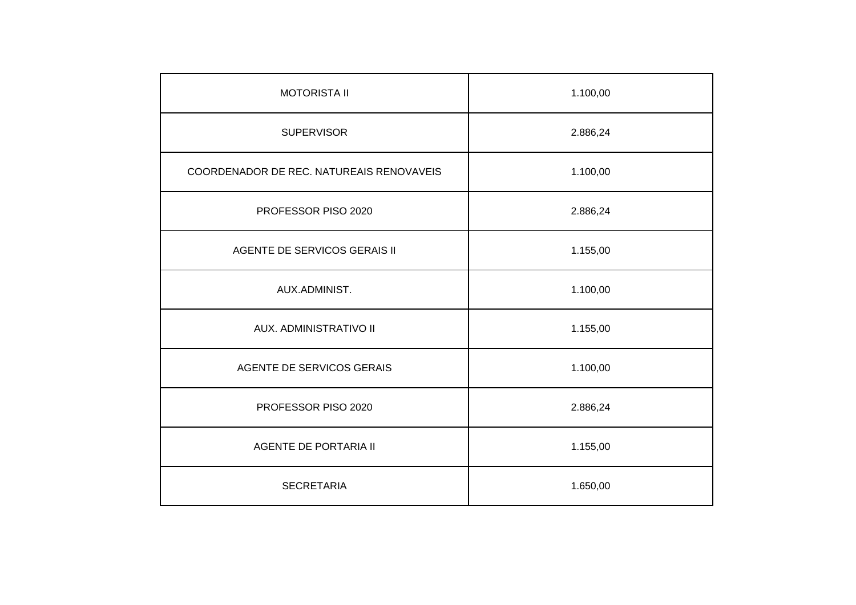| <b>MOTORISTA II</b>                      | 1.100,00 |
|------------------------------------------|----------|
| <b>SUPERVISOR</b>                        | 2.886,24 |
| COORDENADOR DE REC. NATUREAIS RENOVAVEIS | 1.100,00 |
| PROFESSOR PISO 2020                      | 2.886,24 |
| AGENTE DE SERVICOS GERAIS II             | 1.155,00 |
| AUX.ADMINIST.                            | 1.100,00 |
| AUX. ADMINISTRATIVO II                   | 1.155,00 |
| AGENTE DE SERVICOS GERAIS                | 1.100,00 |
| PROFESSOR PISO 2020                      | 2.886,24 |
| <b>AGENTE DE PORTARIA II</b>             | 1.155,00 |
| <b>SECRETARIA</b>                        | 1.650,00 |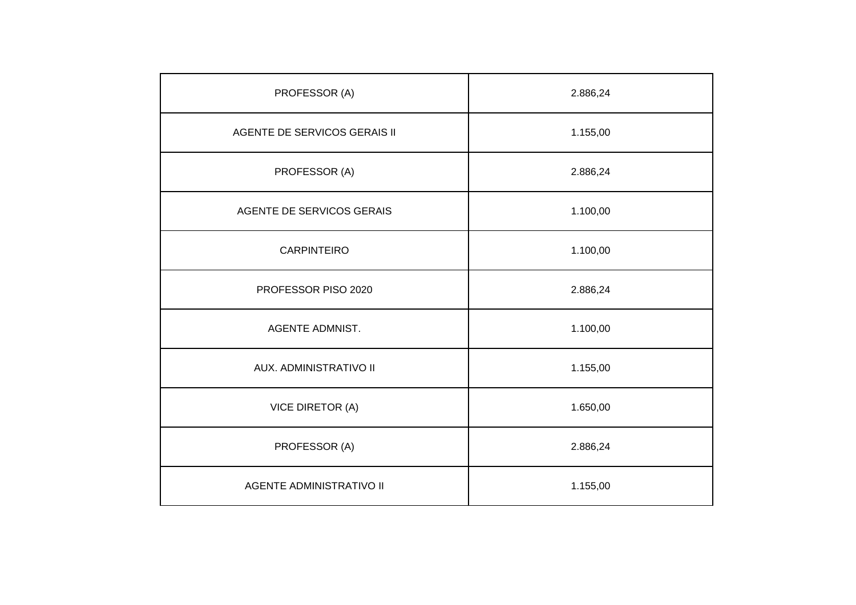| PROFESSOR (A)                   | 2.886,24 |
|---------------------------------|----------|
| AGENTE DE SERVICOS GERAIS II    | 1.155,00 |
| PROFESSOR (A)                   | 2.886,24 |
| AGENTE DE SERVICOS GERAIS       | 1.100,00 |
| <b>CARPINTEIRO</b>              | 1.100,00 |
| PROFESSOR PISO 2020             | 2.886,24 |
| <b>AGENTE ADMNIST.</b>          | 1.100,00 |
| AUX. ADMINISTRATIVO II          | 1.155,00 |
| <b>VICE DIRETOR (A)</b>         | 1.650,00 |
| PROFESSOR (A)                   | 2.886,24 |
| <b>AGENTE ADMINISTRATIVO II</b> | 1.155,00 |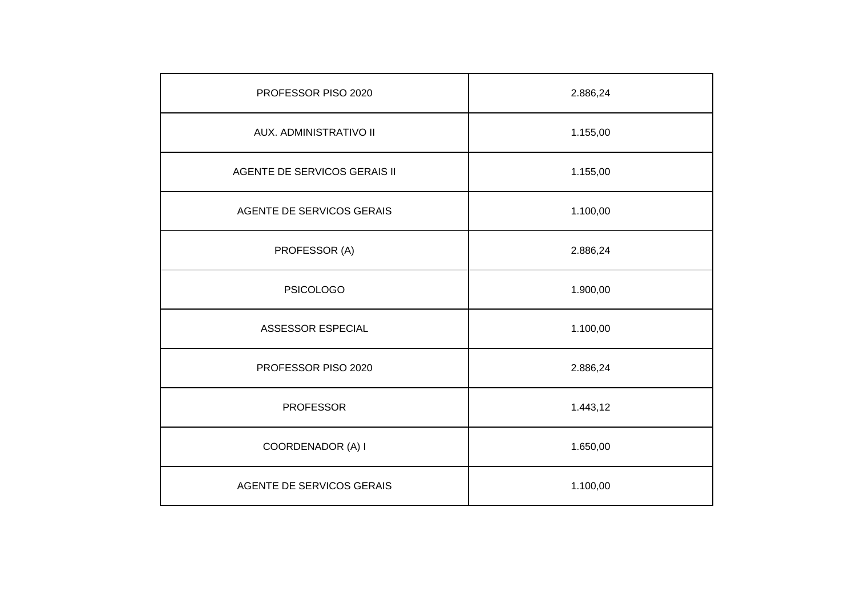| PROFESSOR PISO 2020          | 2.886,24 |
|------------------------------|----------|
| AUX. ADMINISTRATIVO II       | 1.155,00 |
| AGENTE DE SERVICOS GERAIS II | 1.155,00 |
| AGENTE DE SERVICOS GERAIS    | 1.100,00 |
| PROFESSOR (A)                | 2.886,24 |
| <b>PSICOLOGO</b>             | 1.900,00 |
| ASSESSOR ESPECIAL            | 1.100,00 |
| PROFESSOR PISO 2020          | 2.886,24 |
| <b>PROFESSOR</b>             | 1.443,12 |
| COORDENADOR (A) I            | 1.650,00 |
| AGENTE DE SERVICOS GERAIS    | 1.100,00 |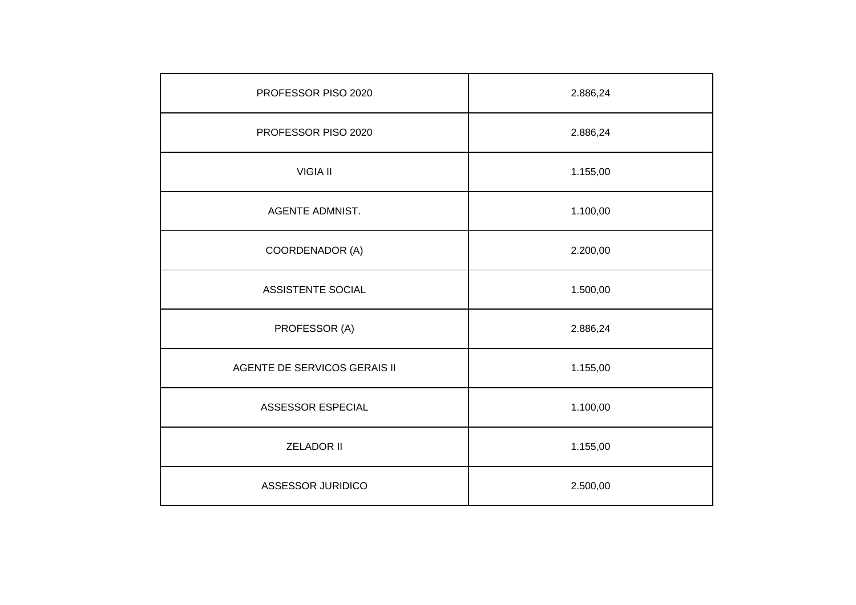| PROFESSOR PISO 2020          | 2.886,24 |
|------------------------------|----------|
| PROFESSOR PISO 2020          | 2.886,24 |
| <b>VIGIA II</b>              | 1.155,00 |
| <b>AGENTE ADMNIST.</b>       | 1.100,00 |
| COORDENADOR (A)              | 2.200,00 |
| ASSISTENTE SOCIAL            | 1.500,00 |
| PROFESSOR (A)                | 2.886,24 |
| AGENTE DE SERVICOS GERAIS II | 1.155,00 |
| ASSESSOR ESPECIAL            | 1.100,00 |
| <b>ZELADOR II</b>            | 1.155,00 |
| ASSESSOR JURIDICO            | 2.500,00 |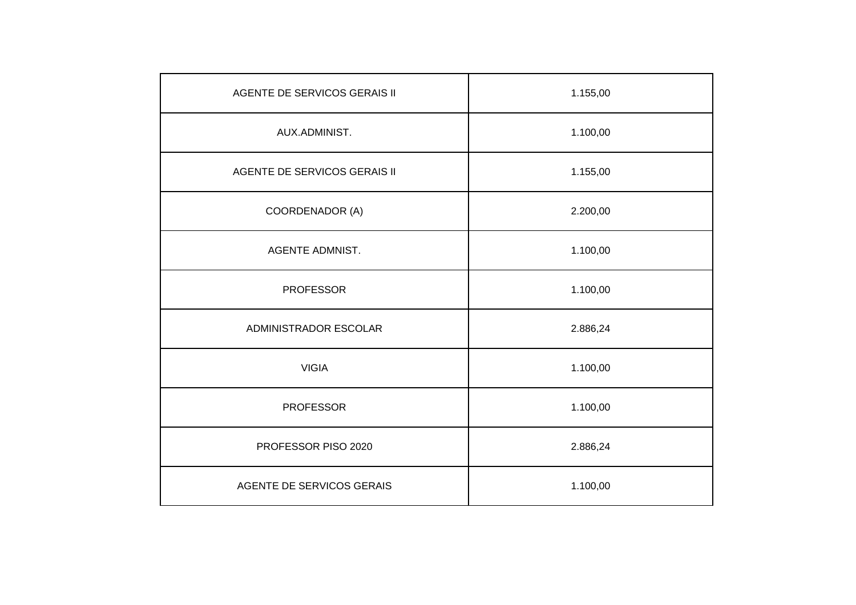| AGENTE DE SERVICOS GERAIS II | 1.155,00 |
|------------------------------|----------|
| AUX.ADMINIST.                | 1.100,00 |
| AGENTE DE SERVICOS GERAIS II | 1.155,00 |
| COORDENADOR (A)              | 2.200,00 |
| <b>AGENTE ADMNIST.</b>       | 1.100,00 |
| <b>PROFESSOR</b>             | 1.100,00 |
| ADMINISTRADOR ESCOLAR        | 2.886,24 |
| <b>VIGIA</b>                 | 1.100,00 |
| <b>PROFESSOR</b>             | 1.100,00 |
| PROFESSOR PISO 2020          | 2.886,24 |
| AGENTE DE SERVICOS GERAIS    | 1.100,00 |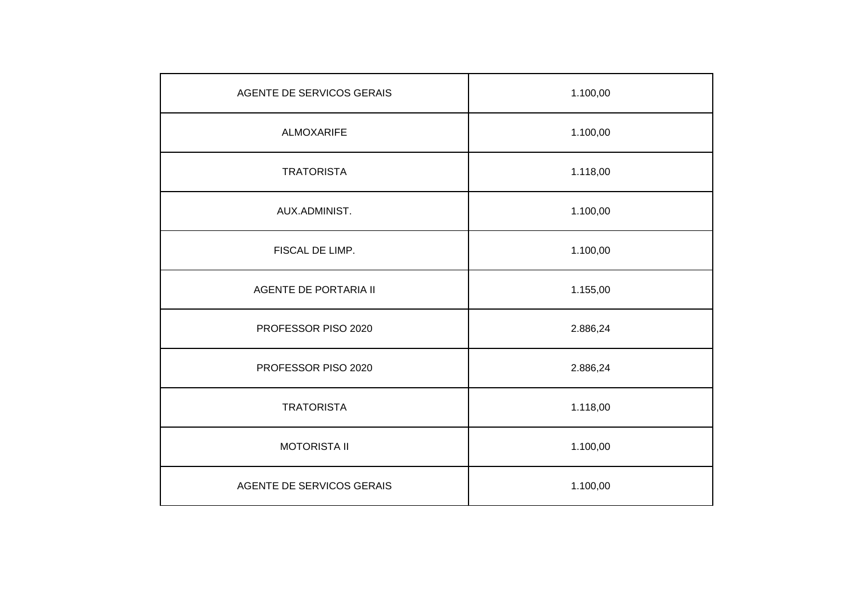| AGENTE DE SERVICOS GERAIS    | 1.100,00 |
|------------------------------|----------|
| <b>ALMOXARIFE</b>            | 1.100,00 |
| <b>TRATORISTA</b>            | 1.118,00 |
| AUX.ADMINIST.                | 1.100,00 |
| FISCAL DE LIMP.              | 1.100,00 |
| <b>AGENTE DE PORTARIA II</b> | 1.155,00 |
| PROFESSOR PISO 2020          | 2.886,24 |
| PROFESSOR PISO 2020          | 2.886,24 |
| <b>TRATORISTA</b>            | 1.118,00 |
| <b>MOTORISTA II</b>          | 1.100,00 |
| AGENTE DE SERVICOS GERAIS    | 1.100,00 |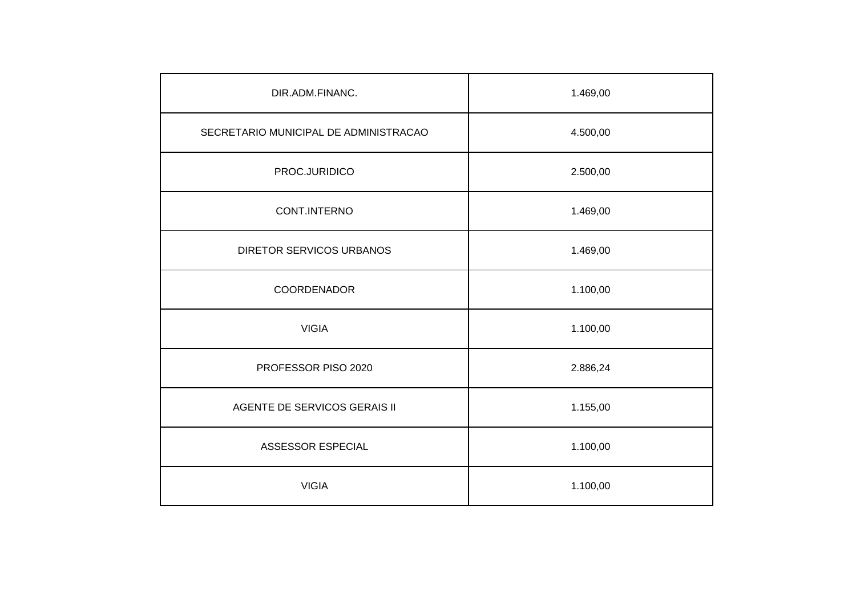| DIR.ADM.FINANC.                       | 1.469,00 |
|---------------------------------------|----------|
| SECRETARIO MUNICIPAL DE ADMINISTRACAO | 4.500,00 |
| PROC.JURIDICO                         | 2.500,00 |
| CONT.INTERNO                          | 1.469,00 |
| <b>DIRETOR SERVICOS URBANOS</b>       | 1.469,00 |
| COORDENADOR                           | 1.100,00 |
| <b>VIGIA</b>                          | 1.100,00 |
| PROFESSOR PISO 2020                   | 2.886,24 |
| AGENTE DE SERVICOS GERAIS II          | 1.155,00 |
| ASSESSOR ESPECIAL                     | 1.100,00 |
| <b>VIGIA</b>                          | 1.100,00 |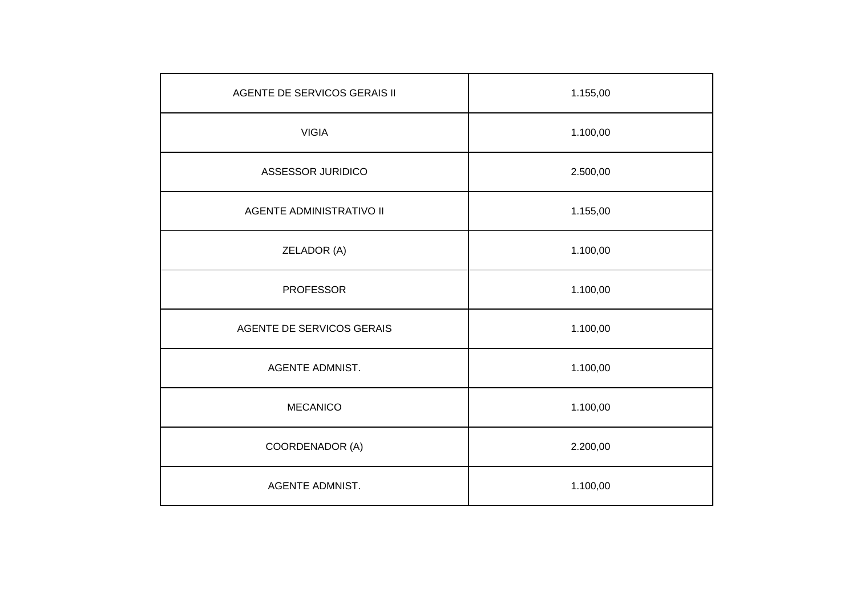| <b>AGENTE DE SERVICOS GERAIS II</b> | 1.155,00 |
|-------------------------------------|----------|
| <b>VIGIA</b>                        | 1.100,00 |
| ASSESSOR JURIDICO                   | 2.500,00 |
| <b>AGENTE ADMINISTRATIVO II</b>     | 1.155,00 |
| ZELADOR (A)                         | 1.100,00 |
| <b>PROFESSOR</b>                    | 1.100,00 |
| AGENTE DE SERVICOS GERAIS           | 1.100,00 |
| <b>AGENTE ADMNIST.</b>              | 1.100,00 |
| <b>MECANICO</b>                     | 1.100,00 |
| COORDENADOR (A)                     | 2.200,00 |
| AGENTE ADMNIST.                     | 1.100,00 |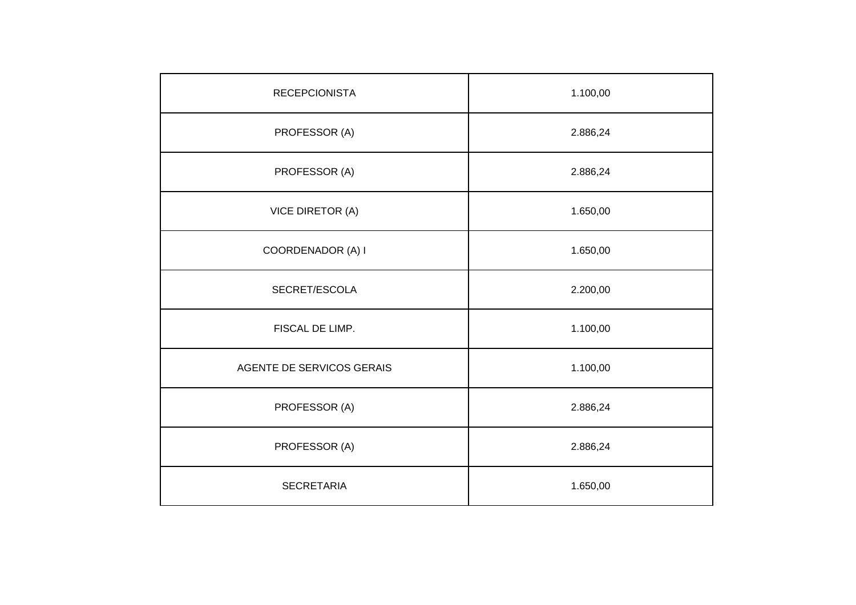| <b>RECEPCIONISTA</b>      | 1.100,00 |
|---------------------------|----------|
| PROFESSOR (A)             | 2.886,24 |
| PROFESSOR (A)             | 2.886,24 |
| <b>VICE DIRETOR (A)</b>   | 1.650,00 |
| COORDENADOR (A) I         | 1.650,00 |
| SECRET/ESCOLA             | 2.200,00 |
| FISCAL DE LIMP.           | 1.100,00 |
| AGENTE DE SERVICOS GERAIS | 1.100,00 |
| PROFESSOR (A)             | 2.886,24 |
| PROFESSOR (A)             | 2.886,24 |
| <b>SECRETARIA</b>         | 1.650,00 |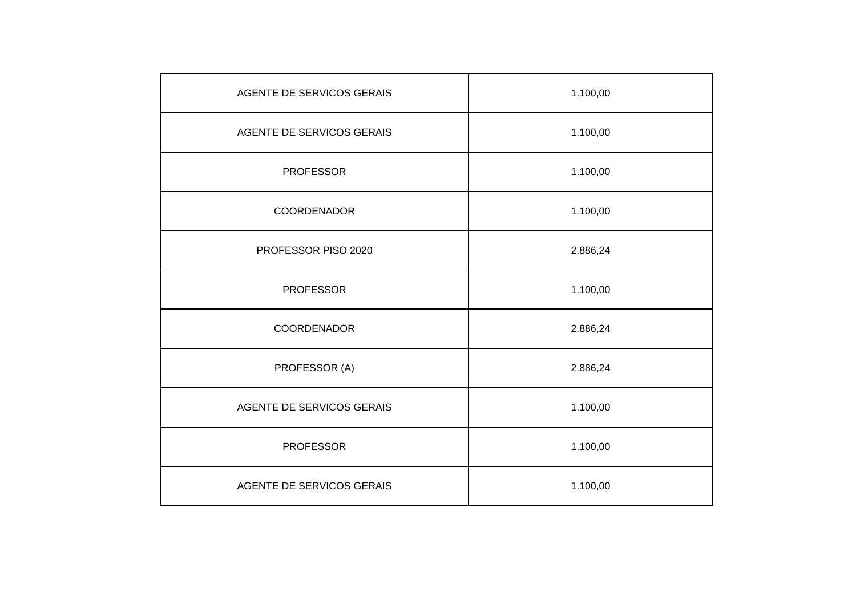| AGENTE DE SERVICOS GERAIS | 1.100,00 |
|---------------------------|----------|
| AGENTE DE SERVICOS GERAIS | 1.100,00 |
| <b>PROFESSOR</b>          | 1.100,00 |
| COORDENADOR               | 1.100,00 |
| PROFESSOR PISO 2020       | 2.886,24 |
| <b>PROFESSOR</b>          | 1.100,00 |
| COORDENADOR               | 2.886,24 |
| PROFESSOR (A)             | 2.886,24 |
| AGENTE DE SERVICOS GERAIS | 1.100,00 |
| <b>PROFESSOR</b>          | 1.100,00 |
| AGENTE DE SERVICOS GERAIS | 1.100,00 |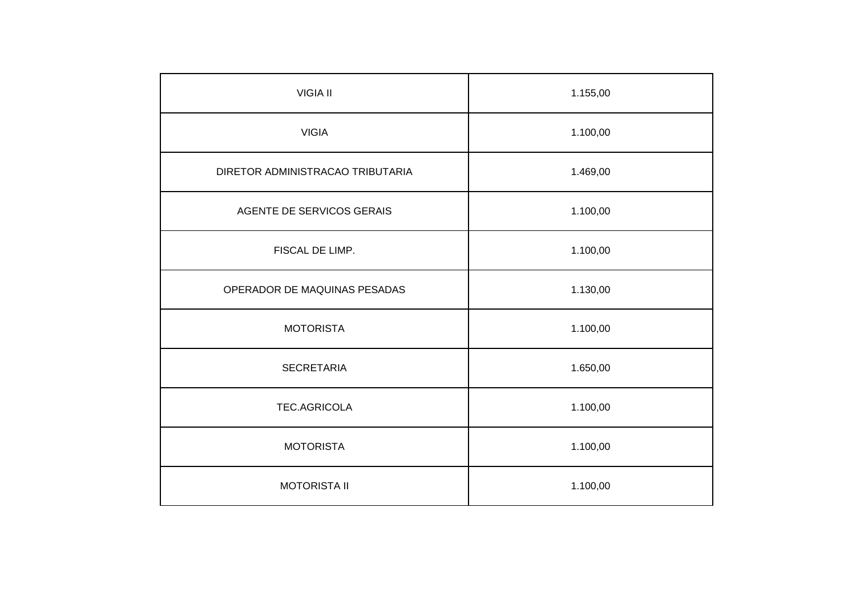| <b>VIGIA II</b>                  | 1.155,00 |
|----------------------------------|----------|
| <b>VIGIA</b>                     | 1.100,00 |
| DIRETOR ADMINISTRACAO TRIBUTARIA | 1.469,00 |
| AGENTE DE SERVICOS GERAIS        | 1.100,00 |
| FISCAL DE LIMP.                  | 1.100,00 |
| OPERADOR DE MAQUINAS PESADAS     | 1.130,00 |
| <b>MOTORISTA</b>                 | 1.100,00 |
| <b>SECRETARIA</b>                | 1.650,00 |
| TEC.AGRICOLA                     | 1.100,00 |
| <b>MOTORISTA</b>                 | 1.100,00 |
| <b>MOTORISTA II</b>              | 1.100,00 |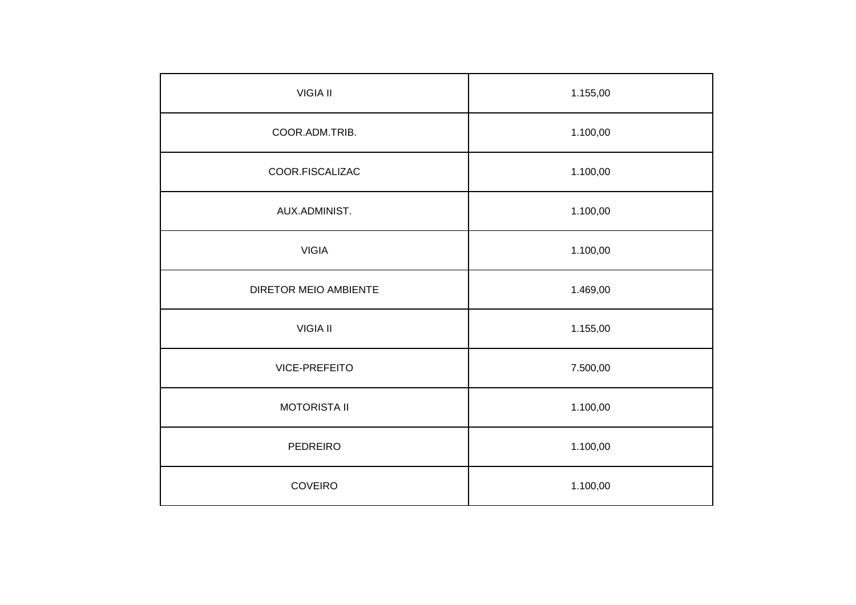| <b>VIGIA II</b>       | 1.155,00 |
|-----------------------|----------|
| COOR.ADM.TRIB.        | 1.100,00 |
| COOR.FISCALIZAC       | 1.100,00 |
| AUX.ADMINIST.         | 1.100,00 |
| <b>VIGIA</b>          | 1.100,00 |
| DIRETOR MEIO AMBIENTE | 1.469,00 |
| <b>VIGIA II</b>       | 1.155,00 |
| VICE-PREFEITO         | 7.500,00 |
| <b>MOTORISTA II</b>   | 1.100,00 |
| PEDREIRO              | 1.100,00 |
| <b>COVEIRO</b>        | 1.100,00 |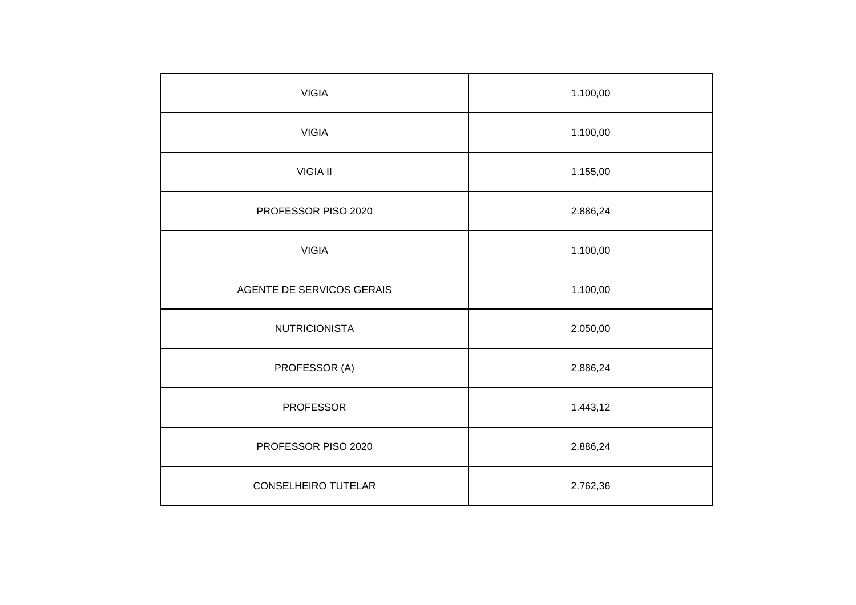| <b>VIGIA</b>              | 1.100,00 |
|---------------------------|----------|
| <b>VIGIA</b>              | 1.100,00 |
| <b>VIGIA II</b>           | 1.155,00 |
| PROFESSOR PISO 2020       | 2.886,24 |
| <b>VIGIA</b>              | 1.100,00 |
| AGENTE DE SERVICOS GERAIS | 1.100,00 |
| <b>NUTRICIONISTA</b>      | 2.050,00 |
| PROFESSOR (A)             | 2.886,24 |
| <b>PROFESSOR</b>          | 1.443,12 |
| PROFESSOR PISO 2020       | 2.886,24 |
| CONSELHEIRO TUTELAR       | 2.762,36 |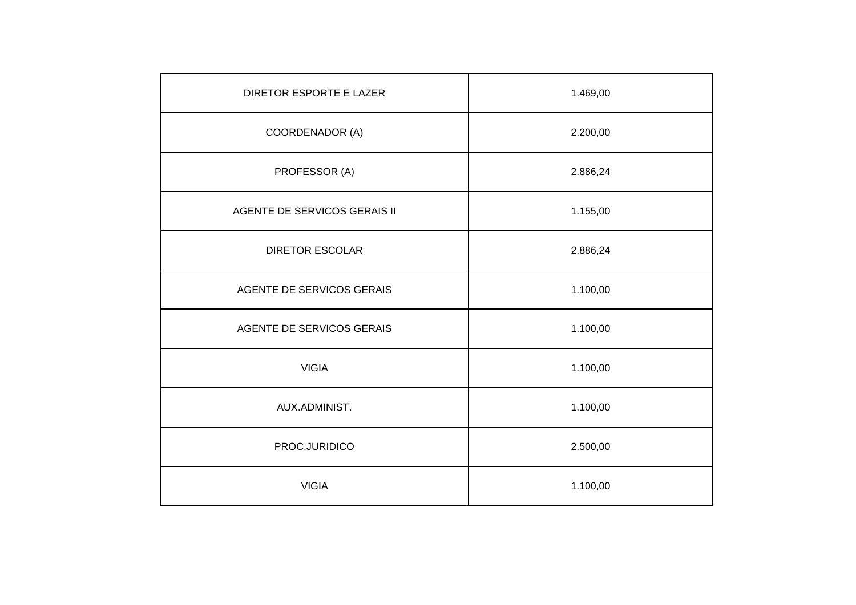| DIRETOR ESPORTE E LAZER      | 1.469,00 |
|------------------------------|----------|
| COORDENADOR (A)              | 2.200,00 |
| PROFESSOR (A)                | 2.886,24 |
| AGENTE DE SERVICOS GERAIS II | 1.155,00 |
| <b>DIRETOR ESCOLAR</b>       | 2.886,24 |
| AGENTE DE SERVICOS GERAIS    | 1.100,00 |
| AGENTE DE SERVICOS GERAIS    | 1.100,00 |
| <b>VIGIA</b>                 | 1.100,00 |
| AUX.ADMINIST.                | 1.100,00 |
| PROC.JURIDICO                | 2.500,00 |
| <b>VIGIA</b>                 | 1.100,00 |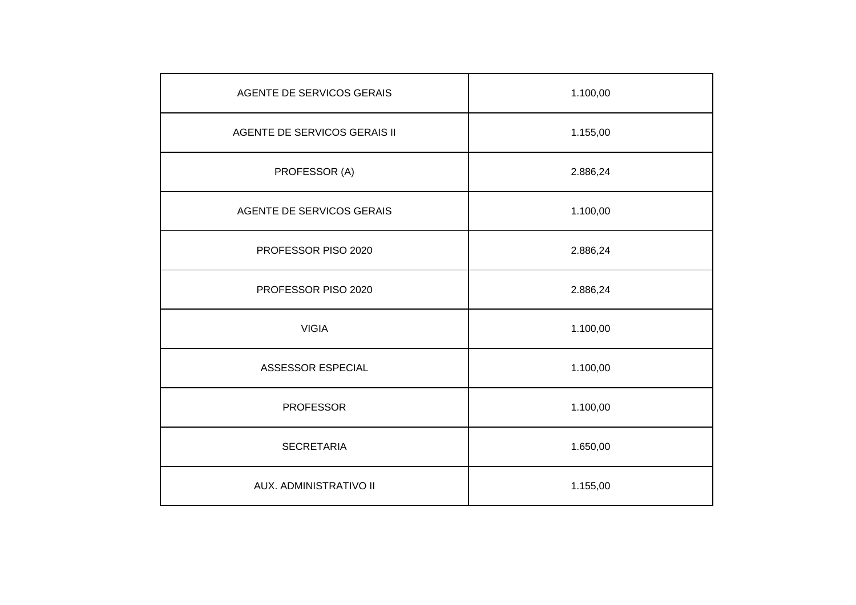| AGENTE DE SERVICOS GERAIS    | 1.100,00 |
|------------------------------|----------|
| AGENTE DE SERVICOS GERAIS II | 1.155,00 |
| PROFESSOR (A)                | 2.886,24 |
| AGENTE DE SERVICOS GERAIS    | 1.100,00 |
| PROFESSOR PISO 2020          | 2.886,24 |
| PROFESSOR PISO 2020          | 2.886,24 |
| <b>VIGIA</b>                 | 1.100,00 |
| ASSESSOR ESPECIAL            | 1.100,00 |
| <b>PROFESSOR</b>             | 1.100,00 |
| <b>SECRETARIA</b>            | 1.650,00 |
| AUX. ADMINISTRATIVO II       | 1.155,00 |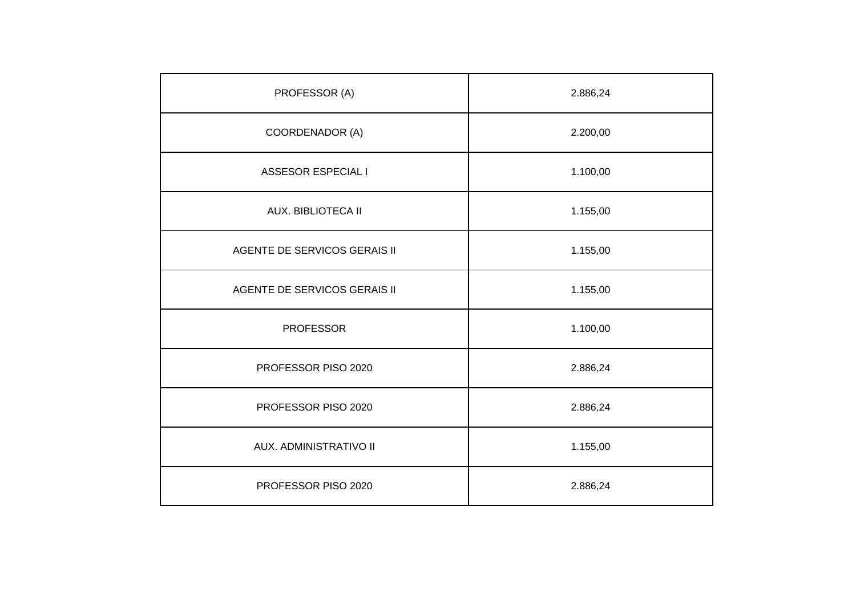| PROFESSOR (A)                | 2.886,24 |
|------------------------------|----------|
| COORDENADOR (A)              | 2.200,00 |
| <b>ASSESOR ESPECIAL I</b>    | 1.100,00 |
| <b>AUX. BIBLIOTECA II</b>    | 1.155,00 |
| AGENTE DE SERVICOS GERAIS II | 1.155,00 |
| AGENTE DE SERVICOS GERAIS II | 1.155,00 |
| <b>PROFESSOR</b>             | 1.100,00 |
| PROFESSOR PISO 2020          | 2.886,24 |
| PROFESSOR PISO 2020          | 2.886,24 |
| AUX. ADMINISTRATIVO II       | 1.155,00 |
| PROFESSOR PISO 2020          | 2.886,24 |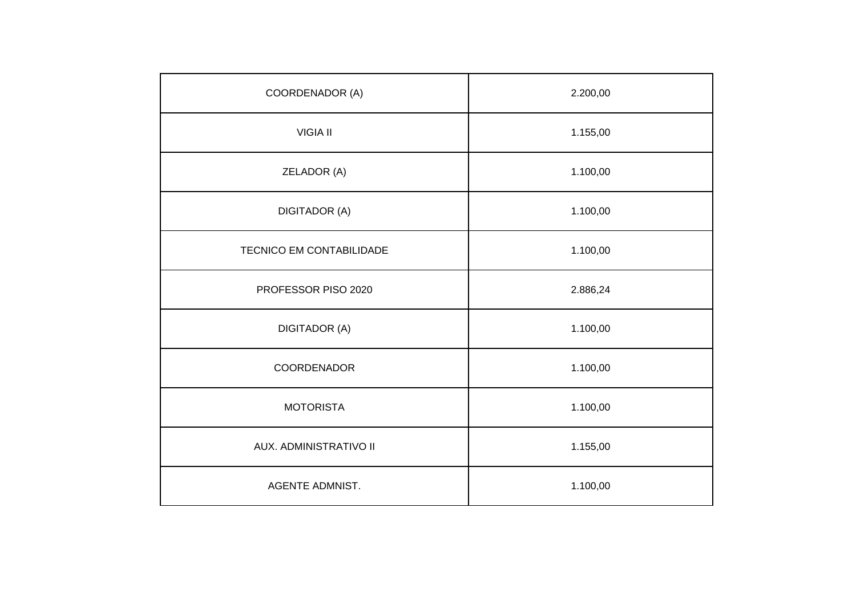| COORDENADOR (A)          | 2.200,00 |
|--------------------------|----------|
| <b>VIGIA II</b>          | 1.155,00 |
| ZELADOR (A)              | 1.100,00 |
| <b>DIGITADOR (A)</b>     | 1.100,00 |
| TECNICO EM CONTABILIDADE | 1.100,00 |
| PROFESSOR PISO 2020      | 2.886,24 |
| <b>DIGITADOR (A)</b>     | 1.100,00 |
| COORDENADOR              | 1.100,00 |
| <b>MOTORISTA</b>         | 1.100,00 |
| AUX. ADMINISTRATIVO II   | 1.155,00 |
| <b>AGENTE ADMNIST.</b>   | 1.100,00 |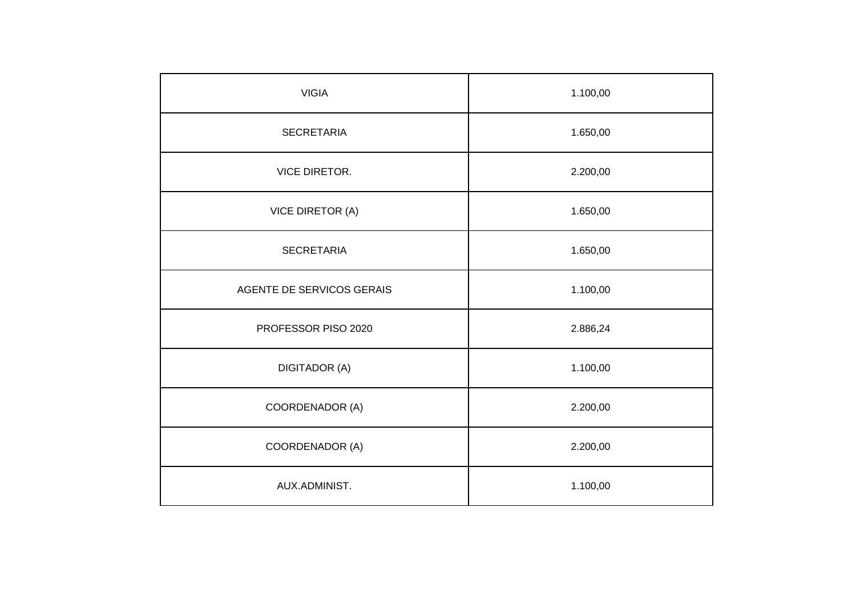| <b>VIGIA</b>              | 1.100,00 |
|---------------------------|----------|
| <b>SECRETARIA</b>         | 1.650,00 |
| <b>VICE DIRETOR.</b>      | 2.200,00 |
| <b>VICE DIRETOR (A)</b>   | 1.650,00 |
| <b>SECRETARIA</b>         | 1.650,00 |
| AGENTE DE SERVICOS GERAIS | 1.100,00 |
| PROFESSOR PISO 2020       | 2.886,24 |
| <b>DIGITADOR (A)</b>      | 1.100,00 |
| COORDENADOR (A)           | 2.200,00 |
| COORDENADOR (A)           | 2.200,00 |
| AUX.ADMINIST.             | 1.100,00 |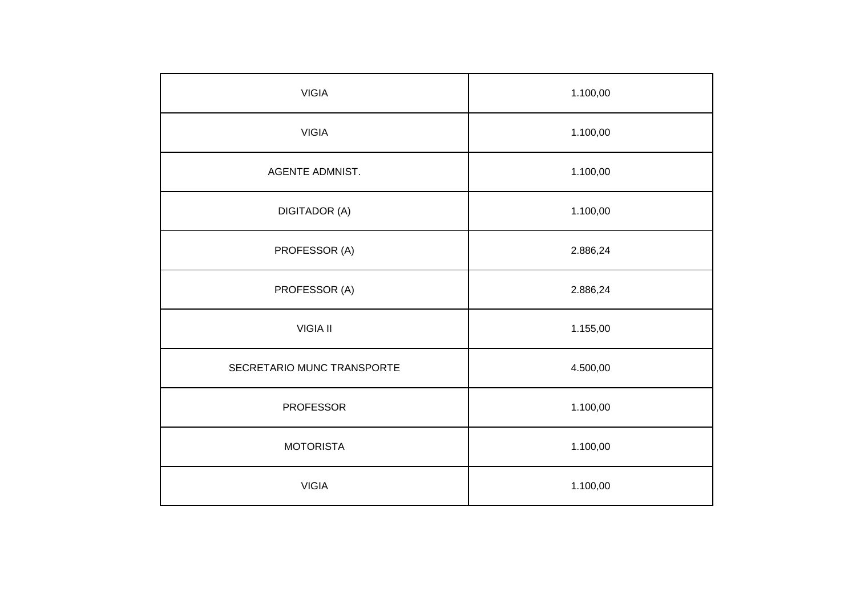| <b>VIGIA</b>               | 1.100,00 |
|----------------------------|----------|
| <b>VIGIA</b>               | 1.100,00 |
| AGENTE ADMNIST.            | 1.100,00 |
| <b>DIGITADOR (A)</b>       | 1.100,00 |
| PROFESSOR (A)              | 2.886,24 |
| PROFESSOR (A)              | 2.886,24 |
| <b>VIGIA II</b>            | 1.155,00 |
| SECRETARIO MUNC TRANSPORTE | 4.500,00 |
| <b>PROFESSOR</b>           | 1.100,00 |
| <b>MOTORISTA</b>           | 1.100,00 |
| <b>VIGIA</b>               | 1.100,00 |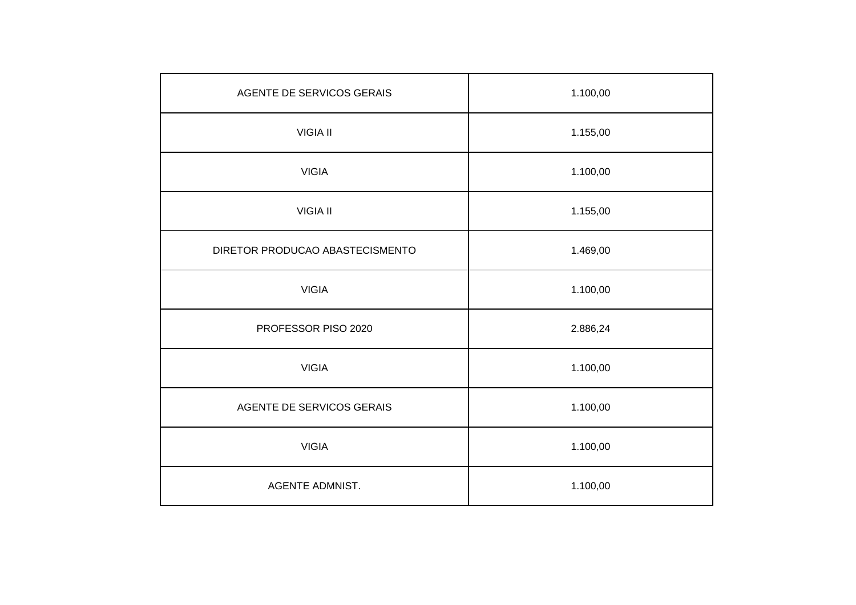| AGENTE DE SERVICOS GERAIS       | 1.100,00 |
|---------------------------------|----------|
| <b>VIGIA II</b>                 | 1.155,00 |
| <b>VIGIA</b>                    | 1.100,00 |
| <b>VIGIA II</b>                 | 1.155,00 |
| DIRETOR PRODUCAO ABASTECISMENTO | 1.469,00 |
| <b>VIGIA</b>                    | 1.100,00 |
| PROFESSOR PISO 2020             | 2.886,24 |
| <b>VIGIA</b>                    | 1.100,00 |
| AGENTE DE SERVICOS GERAIS       | 1.100,00 |
| <b>VIGIA</b>                    | 1.100,00 |
| <b>AGENTE ADMNIST.</b>          | 1.100,00 |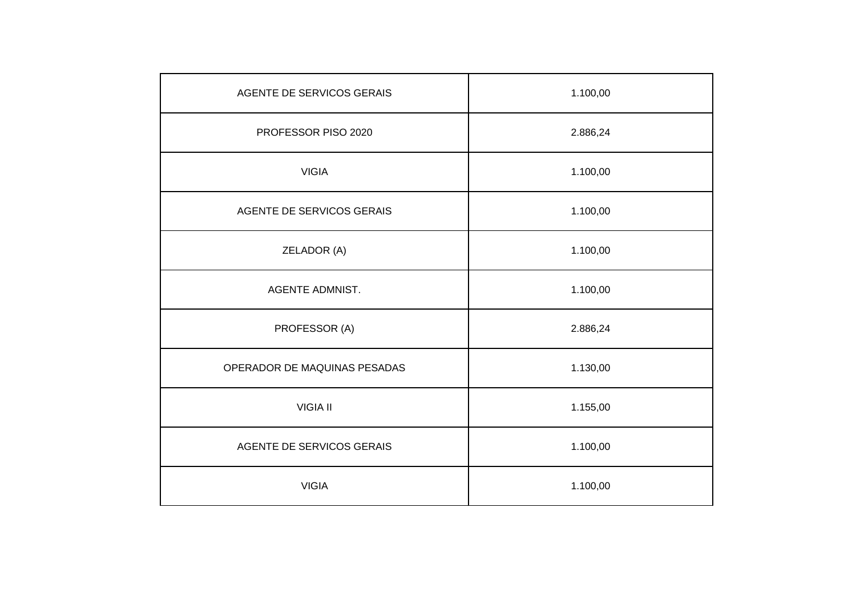| AGENTE DE SERVICOS GERAIS    | 1.100,00 |
|------------------------------|----------|
| PROFESSOR PISO 2020          | 2.886,24 |
| <b>VIGIA</b>                 | 1.100,00 |
| AGENTE DE SERVICOS GERAIS    | 1.100,00 |
| ZELADOR (A)                  | 1.100,00 |
| <b>AGENTE ADMNIST.</b>       | 1.100,00 |
| PROFESSOR (A)                | 2.886,24 |
| OPERADOR DE MAQUINAS PESADAS | 1.130,00 |
| <b>VIGIA II</b>              | 1.155,00 |
| AGENTE DE SERVICOS GERAIS    | 1.100,00 |
| <b>VIGIA</b>                 | 1.100,00 |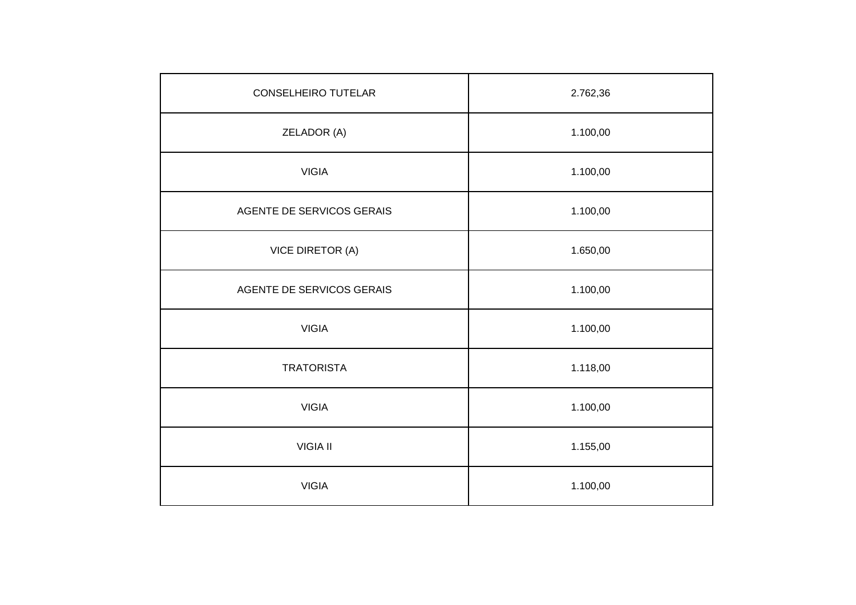| <b>CONSELHEIRO TUTELAR</b> | 2.762,36 |
|----------------------------|----------|
| ZELADOR (A)                | 1.100,00 |
| <b>VIGIA</b>               | 1.100,00 |
| AGENTE DE SERVICOS GERAIS  | 1.100,00 |
| VICE DIRETOR (A)           | 1.650,00 |
| AGENTE DE SERVICOS GERAIS  | 1.100,00 |
| <b>VIGIA</b>               | 1.100,00 |
| <b>TRATORISTA</b>          | 1.118,00 |
| <b>VIGIA</b>               | 1.100,00 |
| <b>VIGIA II</b>            | 1.155,00 |
| <b>VIGIA</b>               | 1.100,00 |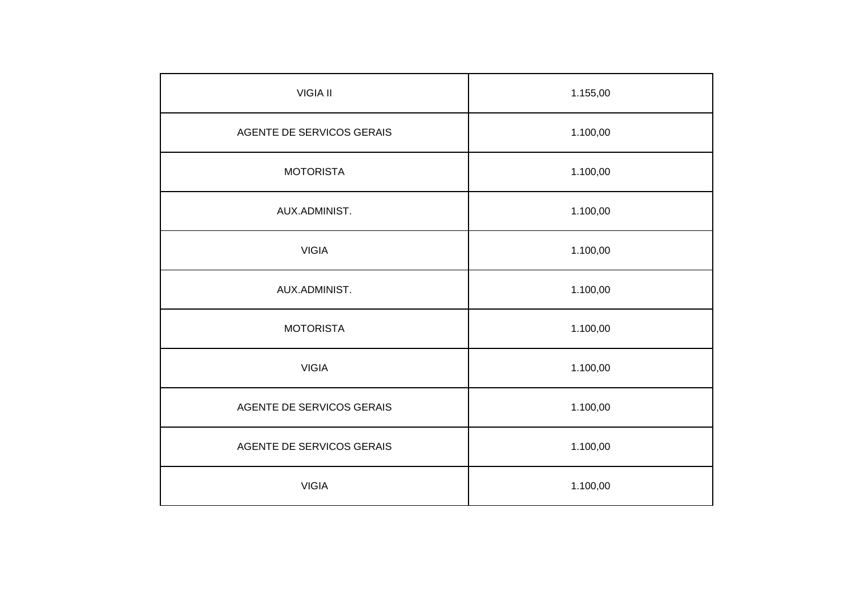| <b>VIGIA II</b>           | 1.155,00 |
|---------------------------|----------|
| AGENTE DE SERVICOS GERAIS | 1.100,00 |
| <b>MOTORISTA</b>          | 1.100,00 |
| AUX.ADMINIST.             | 1.100,00 |
| <b>VIGIA</b>              | 1.100,00 |
| AUX.ADMINIST.             | 1.100,00 |
| <b>MOTORISTA</b>          | 1.100,00 |
| <b>VIGIA</b>              | 1.100,00 |
| AGENTE DE SERVICOS GERAIS | 1.100,00 |
| AGENTE DE SERVICOS GERAIS | 1.100,00 |
| <b>VIGIA</b>              | 1.100,00 |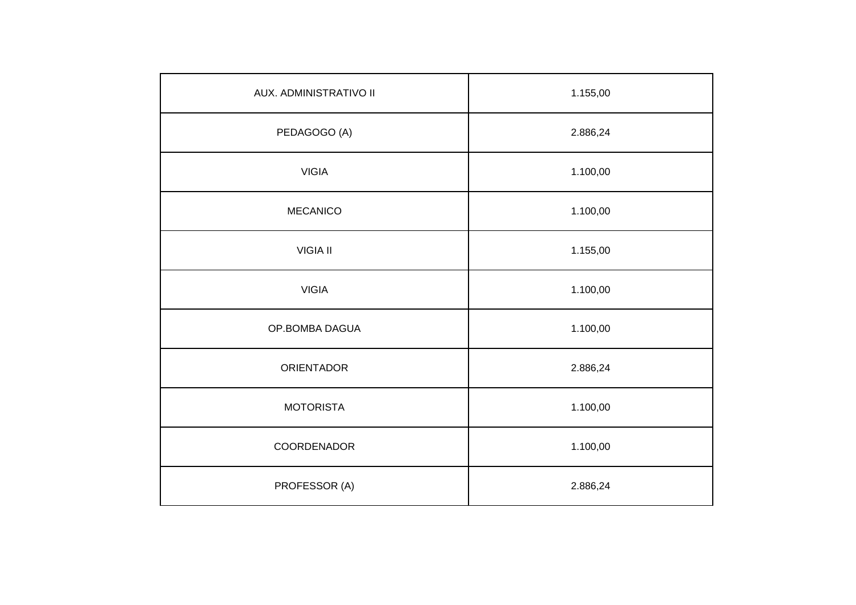| AUX. ADMINISTRATIVO II | 1.155,00 |
|------------------------|----------|
| PEDAGOGO (A)           | 2.886,24 |
| <b>VIGIA</b>           | 1.100,00 |
| <b>MECANICO</b>        | 1.100,00 |
| <b>VIGIA II</b>        | 1.155,00 |
| <b>VIGIA</b>           | 1.100,00 |
| OP.BOMBA DAGUA         | 1.100,00 |
| <b>ORIENTADOR</b>      | 2.886,24 |
| <b>MOTORISTA</b>       | 1.100,00 |
| COORDENADOR            | 1.100,00 |
| PROFESSOR (A)          | 2.886,24 |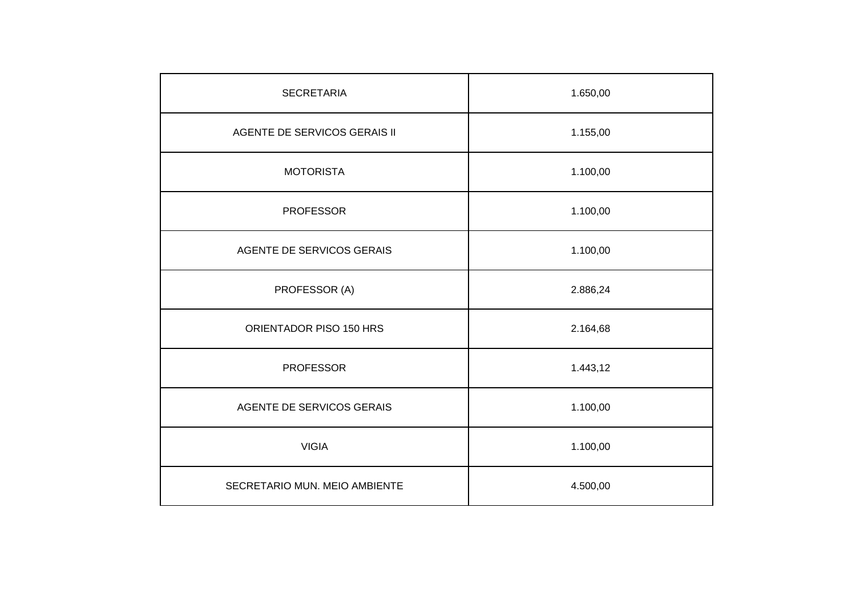| <b>SECRETARIA</b>             | 1.650,00 |
|-------------------------------|----------|
| AGENTE DE SERVICOS GERAIS II  | 1.155,00 |
| <b>MOTORISTA</b>              | 1.100,00 |
| <b>PROFESSOR</b>              | 1.100,00 |
| AGENTE DE SERVICOS GERAIS     | 1.100,00 |
| PROFESSOR (A)                 | 2.886,24 |
| ORIENTADOR PISO 150 HRS       | 2.164,68 |
| <b>PROFESSOR</b>              | 1.443,12 |
| AGENTE DE SERVICOS GERAIS     | 1.100,00 |
| <b>VIGIA</b>                  | 1.100,00 |
| SECRETARIO MUN. MEIO AMBIENTE | 4.500,00 |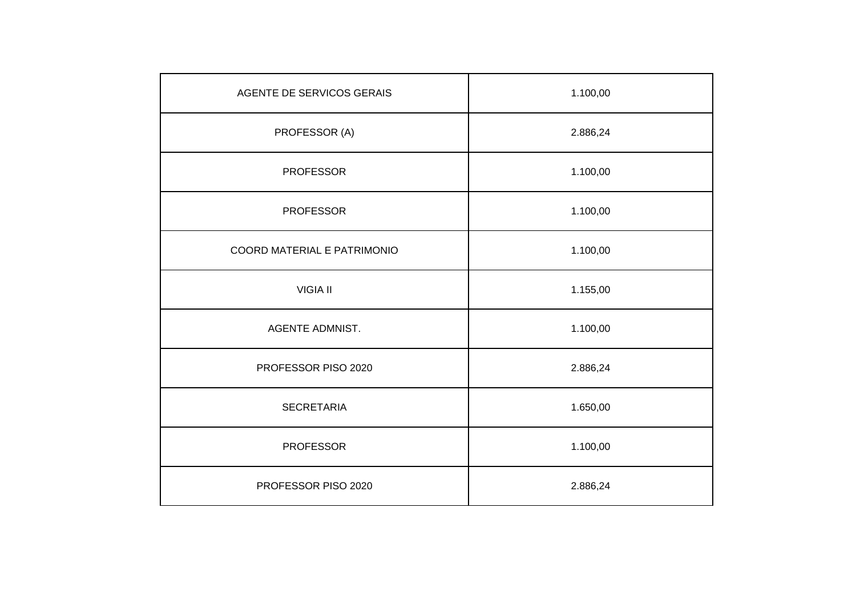| AGENTE DE SERVICOS GERAIS   | 1.100,00 |
|-----------------------------|----------|
| PROFESSOR (A)               | 2.886,24 |
| <b>PROFESSOR</b>            | 1.100,00 |
| <b>PROFESSOR</b>            | 1.100,00 |
| COORD MATERIAL E PATRIMONIO | 1.100,00 |
| <b>VIGIA II</b>             | 1.155,00 |
| AGENTE ADMNIST.             | 1.100,00 |
| PROFESSOR PISO 2020         | 2.886,24 |
| <b>SECRETARIA</b>           | 1.650,00 |
| <b>PROFESSOR</b>            | 1.100,00 |
| PROFESSOR PISO 2020         | 2.886,24 |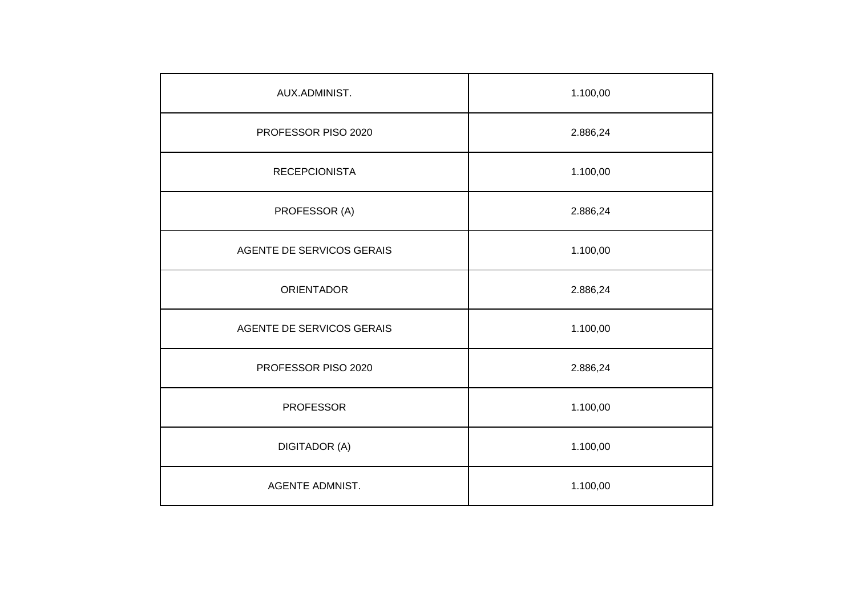| AUX.ADMINIST.             | 1.100,00 |
|---------------------------|----------|
| PROFESSOR PISO 2020       | 2.886,24 |
| <b>RECEPCIONISTA</b>      | 1.100,00 |
| PROFESSOR (A)             | 2.886,24 |
| AGENTE DE SERVICOS GERAIS | 1.100,00 |
| <b>ORIENTADOR</b>         | 2.886,24 |
| AGENTE DE SERVICOS GERAIS | 1.100,00 |
| PROFESSOR PISO 2020       | 2.886,24 |
| <b>PROFESSOR</b>          | 1.100,00 |
| <b>DIGITADOR (A)</b>      | 1.100,00 |
| <b>AGENTE ADMNIST.</b>    | 1.100,00 |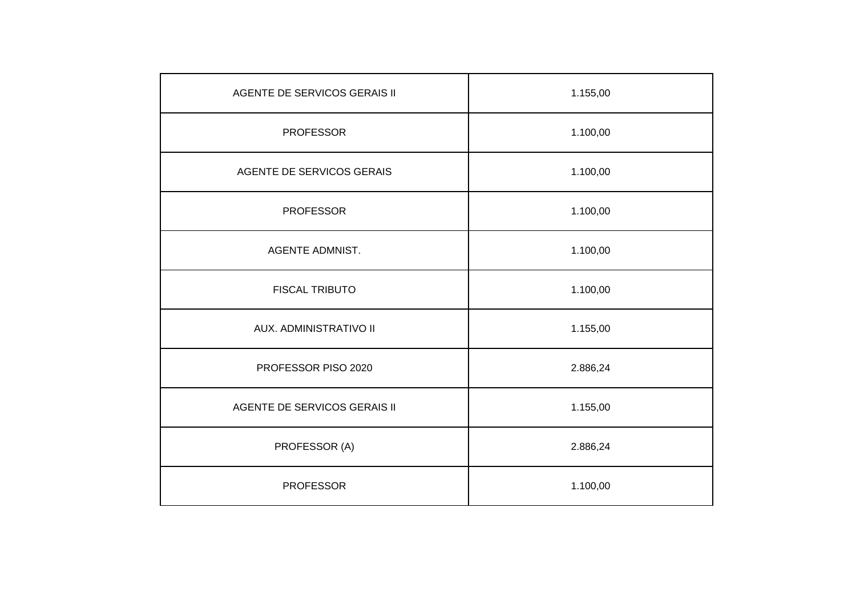| AGENTE DE SERVICOS GERAIS II | 1.155,00 |
|------------------------------|----------|
| <b>PROFESSOR</b>             | 1.100,00 |
| AGENTE DE SERVICOS GERAIS    | 1.100,00 |
| <b>PROFESSOR</b>             | 1.100,00 |
| <b>AGENTE ADMNIST.</b>       | 1.100,00 |
| <b>FISCAL TRIBUTO</b>        | 1.100,00 |
| AUX. ADMINISTRATIVO II       | 1.155,00 |
| PROFESSOR PISO 2020          | 2.886,24 |
| AGENTE DE SERVICOS GERAIS II | 1.155,00 |
| PROFESSOR (A)                | 2.886,24 |
| <b>PROFESSOR</b>             | 1.100,00 |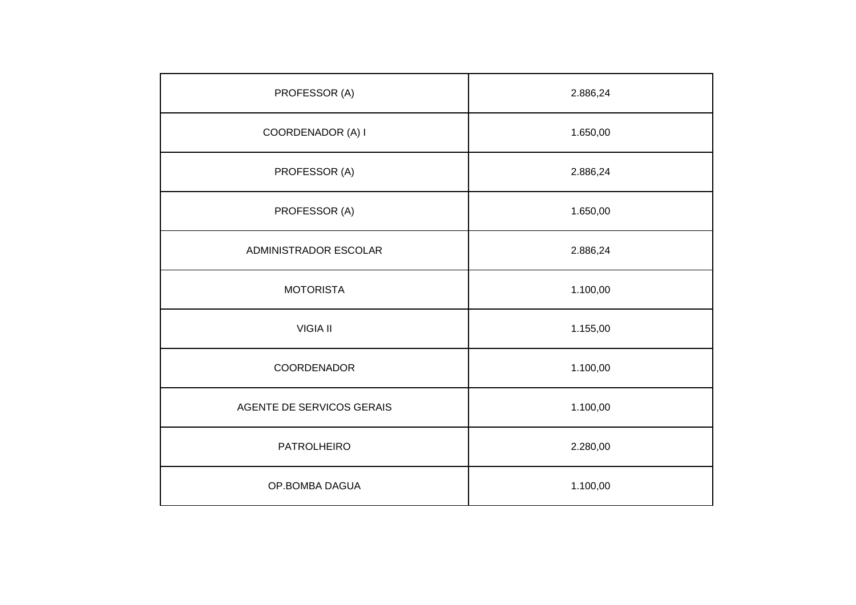| PROFESSOR (A)             | 2.886,24 |
|---------------------------|----------|
| COORDENADOR (A) I         | 1.650,00 |
| PROFESSOR (A)             | 2.886,24 |
| PROFESSOR (A)             | 1.650,00 |
| ADMINISTRADOR ESCOLAR     | 2.886,24 |
| <b>MOTORISTA</b>          | 1.100,00 |
| <b>VIGIA II</b>           | 1.155,00 |
| COORDENADOR               | 1.100,00 |
| AGENTE DE SERVICOS GERAIS | 1.100,00 |
| <b>PATROLHEIRO</b>        | 2.280,00 |
| OP.BOMBA DAGUA            | 1.100,00 |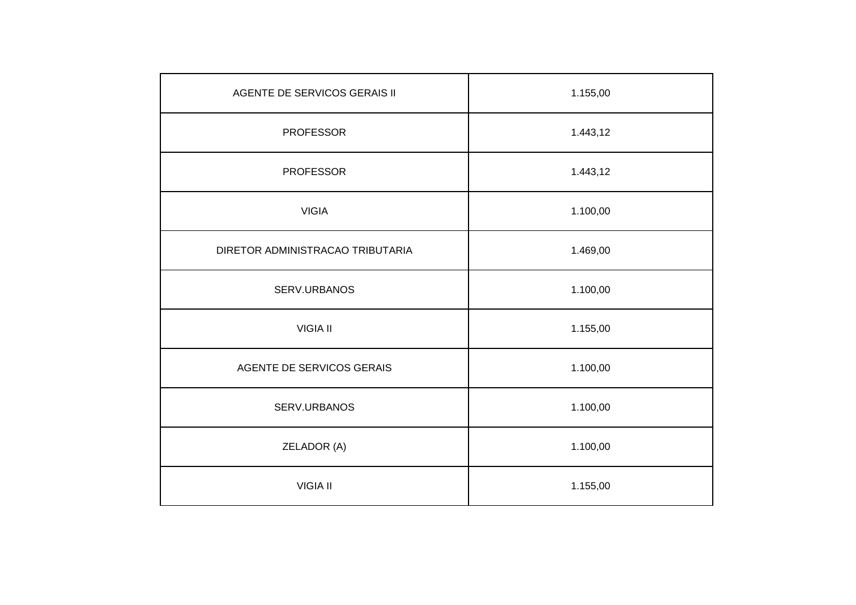| AGENTE DE SERVICOS GERAIS II     | 1.155,00 |
|----------------------------------|----------|
| <b>PROFESSOR</b>                 | 1.443,12 |
| <b>PROFESSOR</b>                 | 1.443,12 |
| <b>VIGIA</b>                     | 1.100,00 |
| DIRETOR ADMINISTRACAO TRIBUTARIA | 1.469,00 |
| SERV.URBANOS                     | 1.100,00 |
| <b>VIGIA II</b>                  | 1.155,00 |
| AGENTE DE SERVICOS GERAIS        | 1.100,00 |
| SERV.URBANOS                     | 1.100,00 |
| ZELADOR (A)                      | 1.100,00 |
| <b>VIGIA II</b>                  | 1.155,00 |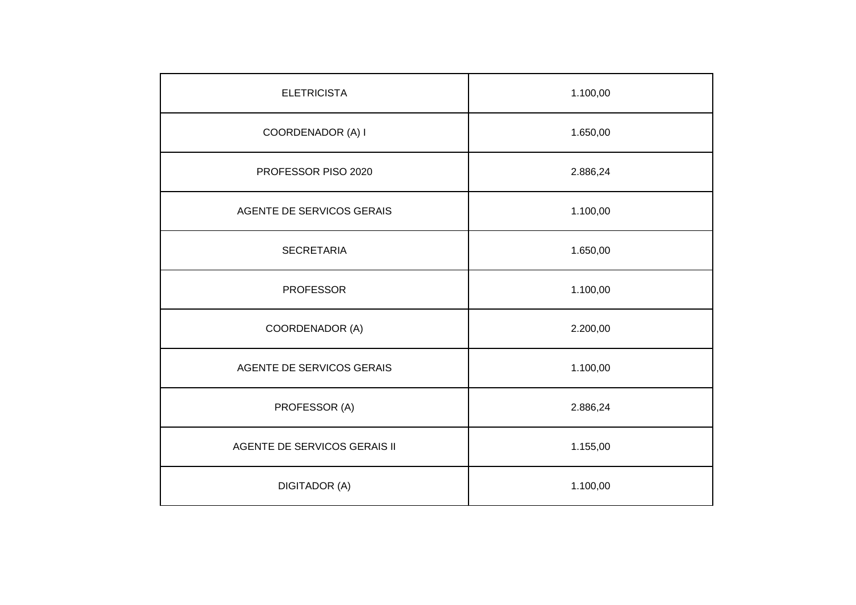| <b>ELETRICISTA</b>           | 1.100,00 |
|------------------------------|----------|
| COORDENADOR (A) I            | 1.650,00 |
| PROFESSOR PISO 2020          | 2.886,24 |
| AGENTE DE SERVICOS GERAIS    | 1.100,00 |
| <b>SECRETARIA</b>            | 1.650,00 |
| <b>PROFESSOR</b>             | 1.100,00 |
| COORDENADOR (A)              | 2.200,00 |
| AGENTE DE SERVICOS GERAIS    | 1.100,00 |
| PROFESSOR (A)                | 2.886,24 |
| AGENTE DE SERVICOS GERAIS II | 1.155,00 |
| <b>DIGITADOR (A)</b>         | 1.100,00 |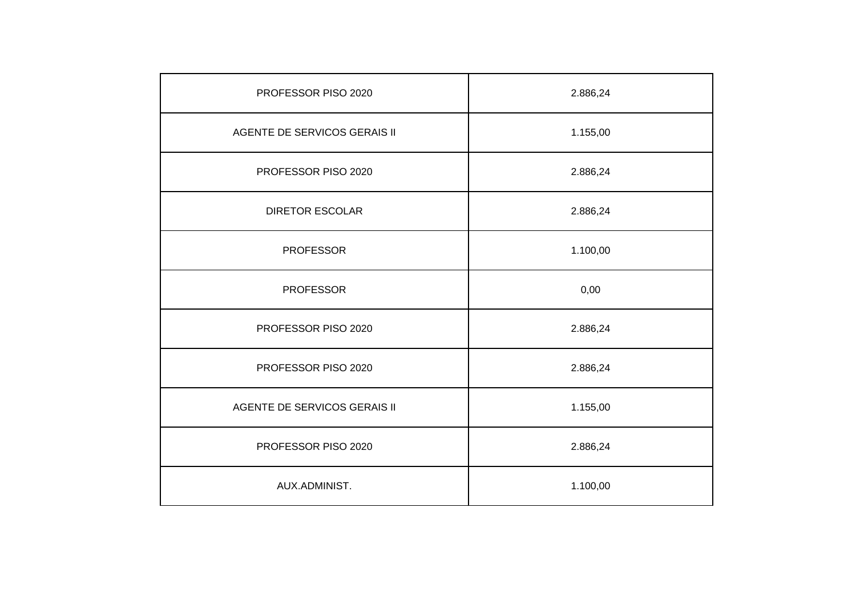| PROFESSOR PISO 2020          | 2.886,24 |
|------------------------------|----------|
| AGENTE DE SERVICOS GERAIS II | 1.155,00 |
| PROFESSOR PISO 2020          | 2.886,24 |
| <b>DIRETOR ESCOLAR</b>       | 2.886,24 |
| <b>PROFESSOR</b>             | 1.100,00 |
| <b>PROFESSOR</b>             | 0,00     |
| PROFESSOR PISO 2020          | 2.886,24 |
| PROFESSOR PISO 2020          | 2.886,24 |
| AGENTE DE SERVICOS GERAIS II | 1.155,00 |
| PROFESSOR PISO 2020          | 2.886,24 |
| AUX.ADMINIST.                | 1.100,00 |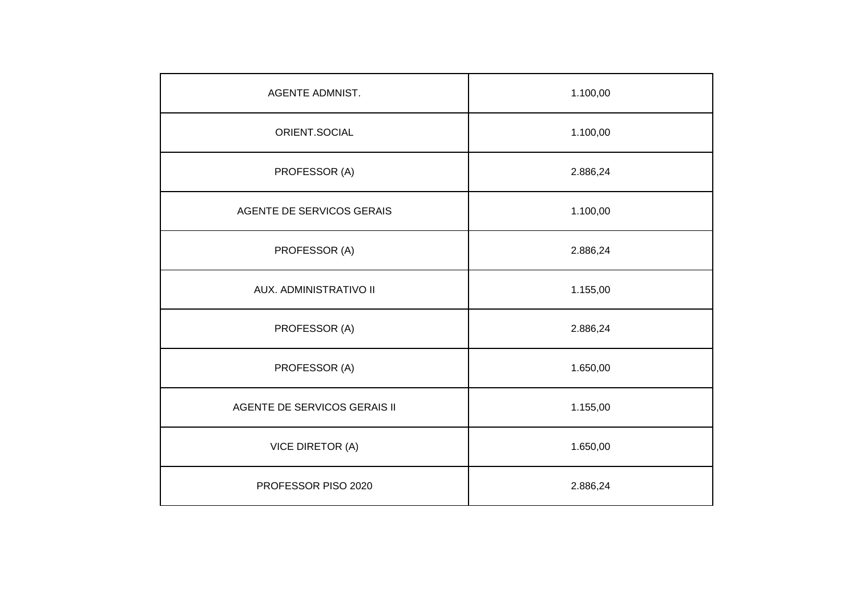| AGENTE ADMNIST.              | 1.100,00 |
|------------------------------|----------|
| ORIENT.SOCIAL                | 1.100,00 |
| PROFESSOR (A)                | 2.886,24 |
| AGENTE DE SERVICOS GERAIS    | 1.100,00 |
| PROFESSOR (A)                | 2.886,24 |
| AUX. ADMINISTRATIVO II       | 1.155,00 |
| PROFESSOR (A)                | 2.886,24 |
| PROFESSOR (A)                | 1.650,00 |
| AGENTE DE SERVICOS GERAIS II | 1.155,00 |
| <b>VICE DIRETOR (A)</b>      | 1.650,00 |
| PROFESSOR PISO 2020          | 2.886,24 |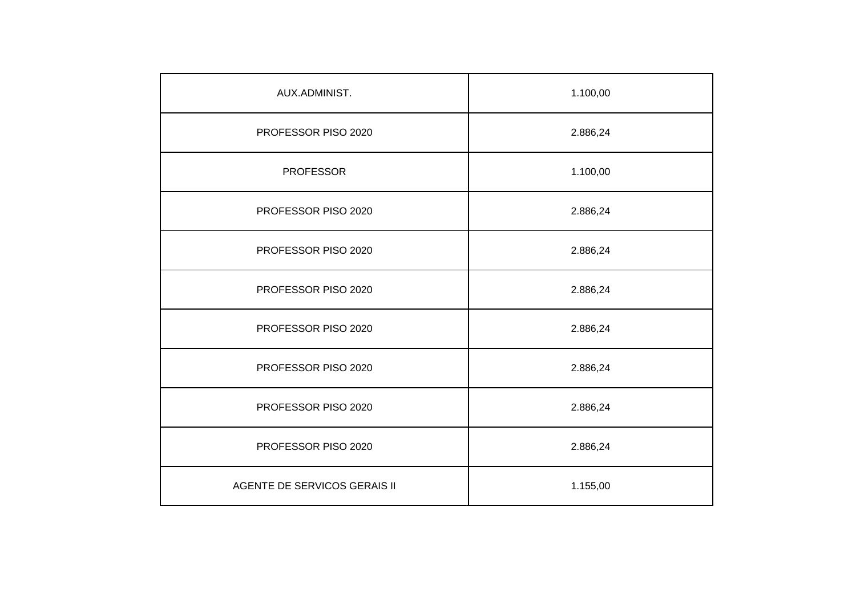| AUX.ADMINIST.                | 1.100,00 |
|------------------------------|----------|
| PROFESSOR PISO 2020          | 2.886,24 |
| <b>PROFESSOR</b>             | 1.100,00 |
| PROFESSOR PISO 2020          | 2.886,24 |
| PROFESSOR PISO 2020          | 2.886,24 |
| PROFESSOR PISO 2020          | 2.886,24 |
| PROFESSOR PISO 2020          | 2.886,24 |
| PROFESSOR PISO 2020          | 2.886,24 |
| PROFESSOR PISO 2020          | 2.886,24 |
| PROFESSOR PISO 2020          | 2.886,24 |
| AGENTE DE SERVICOS GERAIS II | 1.155,00 |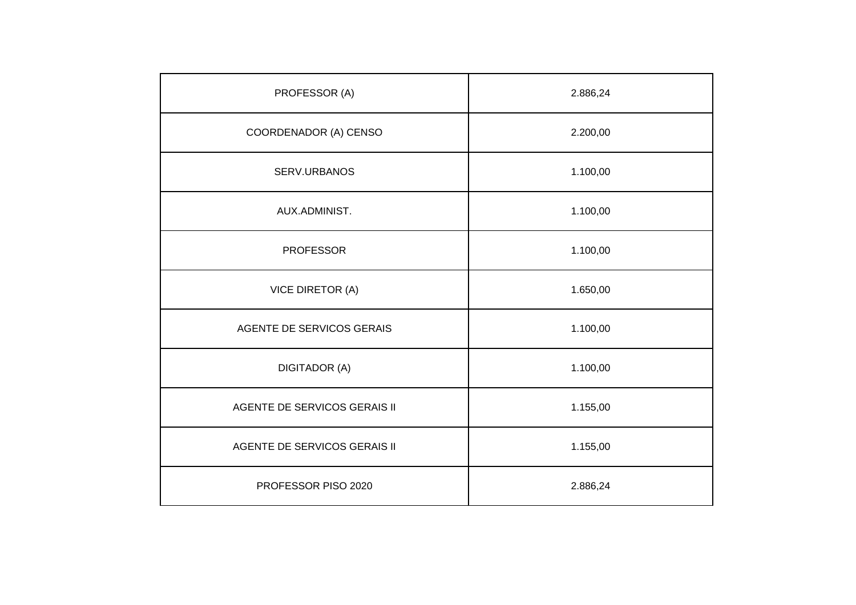| PROFESSOR (A)                | 2.886,24 |
|------------------------------|----------|
| COORDENADOR (A) CENSO        | 2.200,00 |
| SERV.URBANOS                 | 1.100,00 |
| AUX.ADMINIST.                | 1.100,00 |
| <b>PROFESSOR</b>             | 1.100,00 |
| <b>VICE DIRETOR (A)</b>      | 1.650,00 |
| AGENTE DE SERVICOS GERAIS    | 1.100,00 |
| <b>DIGITADOR (A)</b>         | 1.100,00 |
| AGENTE DE SERVICOS GERAIS II | 1.155,00 |
| AGENTE DE SERVICOS GERAIS II | 1.155,00 |
| PROFESSOR PISO 2020          | 2.886,24 |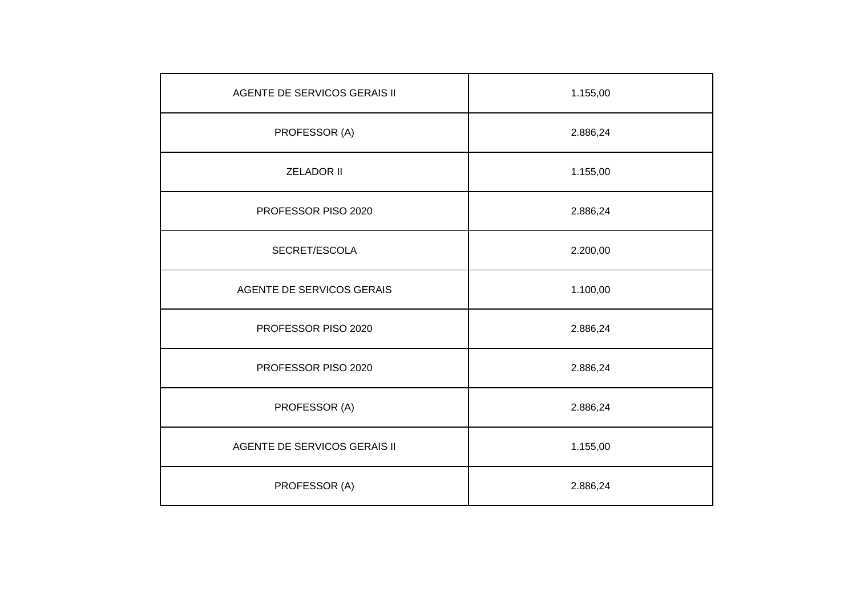| AGENTE DE SERVICOS GERAIS II | 1.155,00 |
|------------------------------|----------|
| PROFESSOR (A)                | 2.886,24 |
| <b>ZELADOR II</b>            | 1.155,00 |
| PROFESSOR PISO 2020          | 2.886,24 |
| SECRET/ESCOLA                | 2.200,00 |
| AGENTE DE SERVICOS GERAIS    | 1.100,00 |
| PROFESSOR PISO 2020          | 2.886,24 |
| PROFESSOR PISO 2020          | 2.886,24 |
| PROFESSOR (A)                | 2.886,24 |
| AGENTE DE SERVICOS GERAIS II | 1.155,00 |
| PROFESSOR (A)                | 2.886,24 |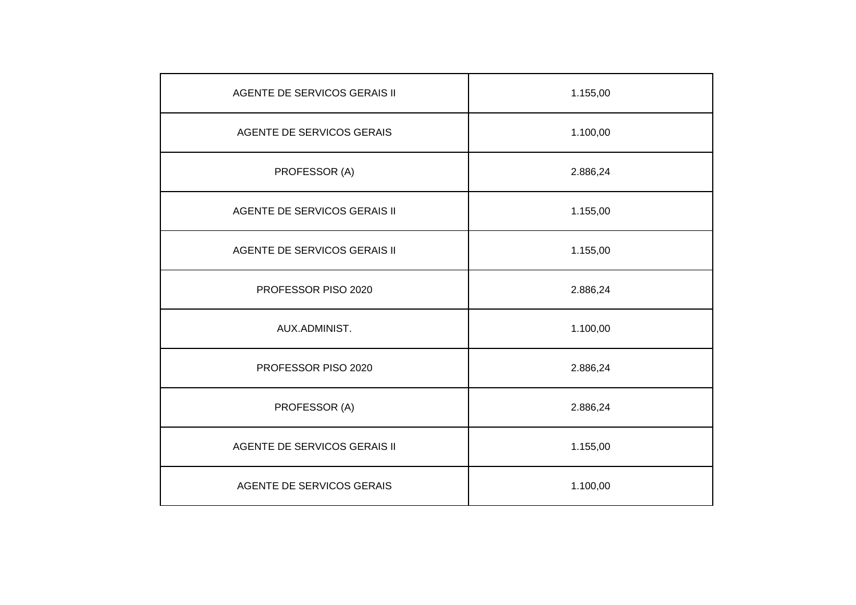| AGENTE DE SERVICOS GERAIS II | 1.155,00 |
|------------------------------|----------|
| AGENTE DE SERVICOS GERAIS    | 1.100,00 |
| PROFESSOR (A)                | 2.886,24 |
| AGENTE DE SERVICOS GERAIS II | 1.155,00 |
| AGENTE DE SERVICOS GERAIS II | 1.155,00 |
| PROFESSOR PISO 2020          | 2.886,24 |
| AUX.ADMINIST.                | 1.100,00 |
| PROFESSOR PISO 2020          | 2.886,24 |
| PROFESSOR (A)                | 2.886,24 |
| AGENTE DE SERVICOS GERAIS II | 1.155,00 |
| AGENTE DE SERVICOS GERAIS    | 1.100,00 |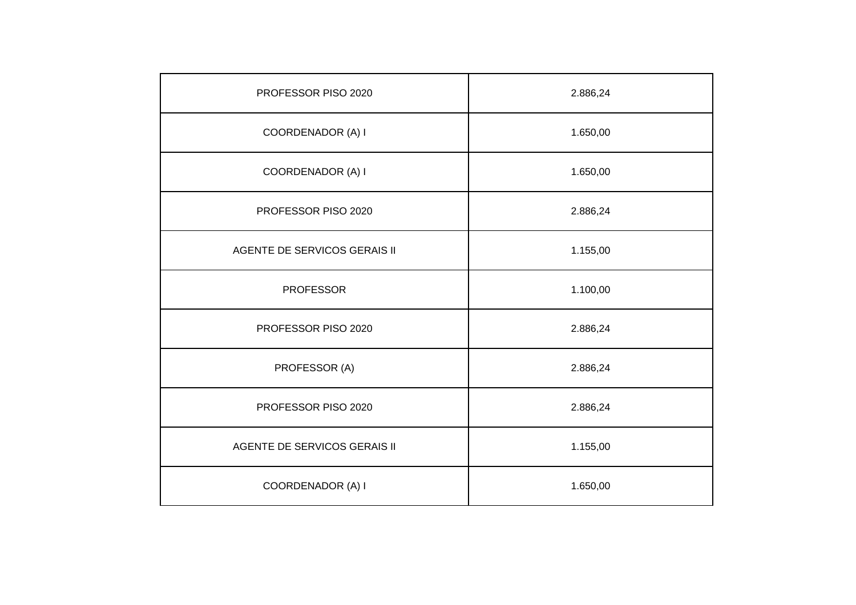| PROFESSOR PISO 2020          | 2.886,24 |
|------------------------------|----------|
| COORDENADOR (A) I            | 1.650,00 |
| COORDENADOR (A) I            | 1.650,00 |
| PROFESSOR PISO 2020          | 2.886,24 |
| AGENTE DE SERVICOS GERAIS II | 1.155,00 |
| <b>PROFESSOR</b>             | 1.100,00 |
| PROFESSOR PISO 2020          | 2.886,24 |
| PROFESSOR (A)                | 2.886,24 |
| PROFESSOR PISO 2020          | 2.886,24 |
| AGENTE DE SERVICOS GERAIS II | 1.155,00 |
| COORDENADOR (A) I            | 1.650,00 |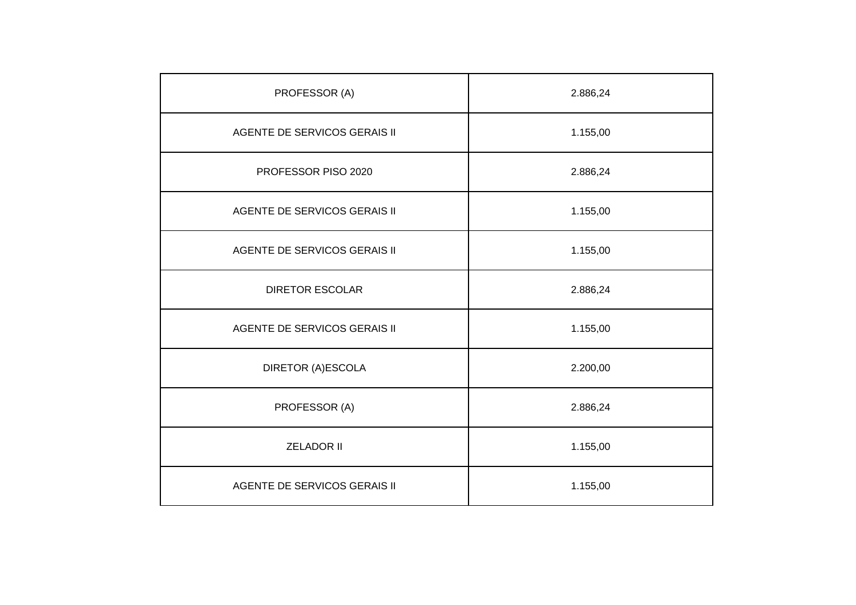| PROFESSOR (A)                | 2.886,24 |
|------------------------------|----------|
| AGENTE DE SERVICOS GERAIS II | 1.155,00 |
| PROFESSOR PISO 2020          | 2.886,24 |
| AGENTE DE SERVICOS GERAIS II | 1.155,00 |
| AGENTE DE SERVICOS GERAIS II | 1.155,00 |
| <b>DIRETOR ESCOLAR</b>       | 2.886,24 |
| AGENTE DE SERVICOS GERAIS II | 1.155,00 |
| <b>DIRETOR (A)ESCOLA</b>     | 2.200,00 |
| PROFESSOR (A)                | 2.886,24 |
| <b>ZELADOR II</b>            | 1.155,00 |
| AGENTE DE SERVICOS GERAIS II | 1.155,00 |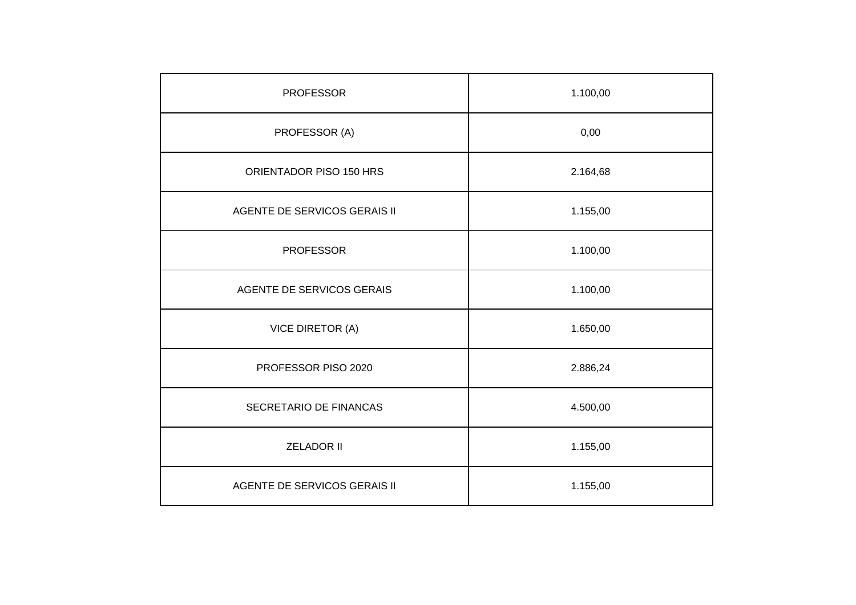| <b>PROFESSOR</b>             | 1.100,00 |
|------------------------------|----------|
| PROFESSOR (A)                | 0,00     |
| ORIENTADOR PISO 150 HRS      | 2.164,68 |
| AGENTE DE SERVICOS GERAIS II | 1.155,00 |
| <b>PROFESSOR</b>             | 1.100,00 |
| AGENTE DE SERVICOS GERAIS    | 1.100,00 |
| VICE DIRETOR (A)             | 1.650,00 |
| PROFESSOR PISO 2020          | 2.886,24 |
| SECRETARIO DE FINANCAS       | 4.500,00 |
| <b>ZELADOR II</b>            | 1.155,00 |
| AGENTE DE SERVICOS GERAIS II | 1.155,00 |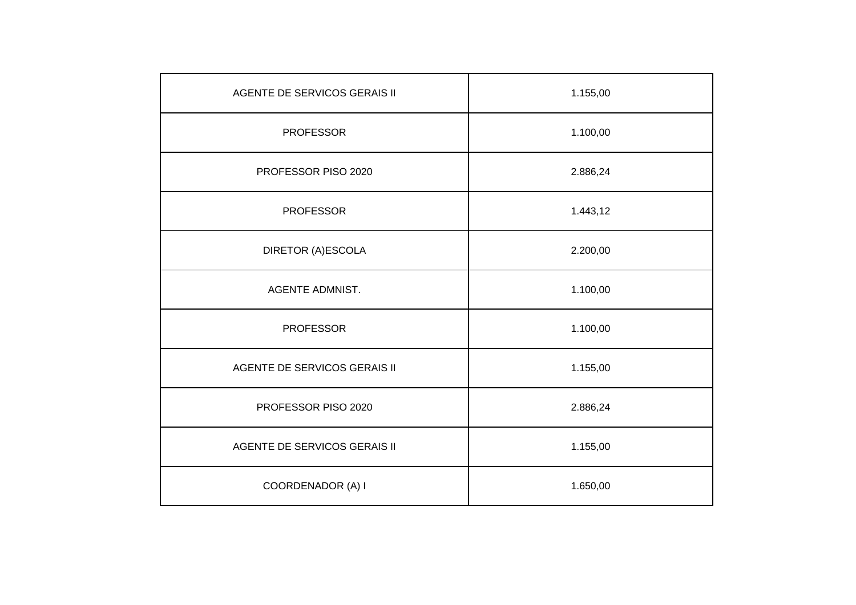| AGENTE DE SERVICOS GERAIS II        | 1.155,00 |
|-------------------------------------|----------|
| <b>PROFESSOR</b>                    | 1.100,00 |
| PROFESSOR PISO 2020                 | 2.886,24 |
| <b>PROFESSOR</b>                    | 1.443,12 |
| DIRETOR (A)ESCOLA                   | 2.200,00 |
| <b>AGENTE ADMNIST.</b>              | 1.100,00 |
| <b>PROFESSOR</b>                    | 1.100,00 |
| AGENTE DE SERVICOS GERAIS II        | 1.155,00 |
| PROFESSOR PISO 2020                 | 2.886,24 |
| <b>AGENTE DE SERVICOS GERAIS II</b> | 1.155,00 |
| COORDENADOR (A) I                   | 1.650,00 |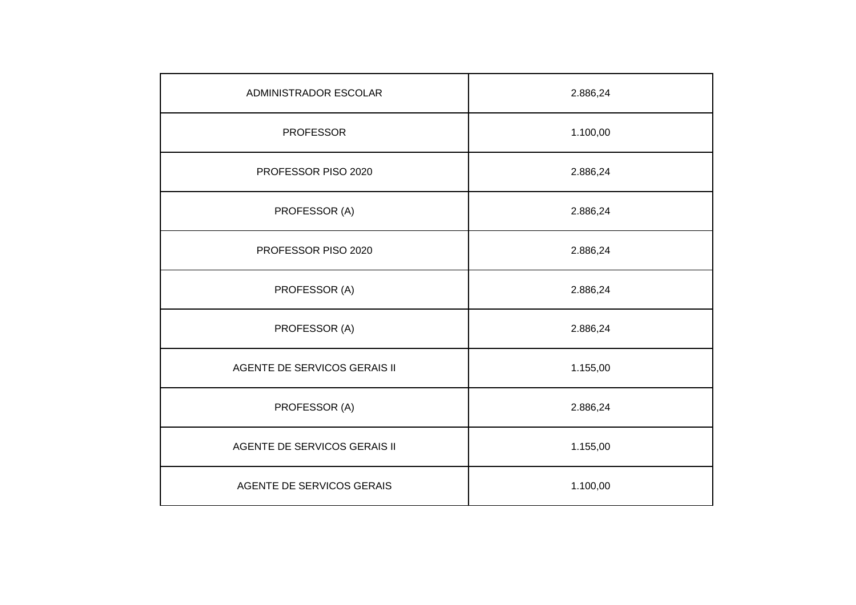| ADMINISTRADOR ESCOLAR        | 2.886,24 |
|------------------------------|----------|
| <b>PROFESSOR</b>             | 1.100,00 |
| PROFESSOR PISO 2020          | 2.886,24 |
| PROFESSOR (A)                | 2.886,24 |
| PROFESSOR PISO 2020          | 2.886,24 |
| PROFESSOR (A)                | 2.886,24 |
| PROFESSOR (A)                | 2.886,24 |
| AGENTE DE SERVICOS GERAIS II | 1.155,00 |
| PROFESSOR (A)                | 2.886,24 |
| AGENTE DE SERVICOS GERAIS II | 1.155,00 |
| AGENTE DE SERVICOS GERAIS    | 1.100,00 |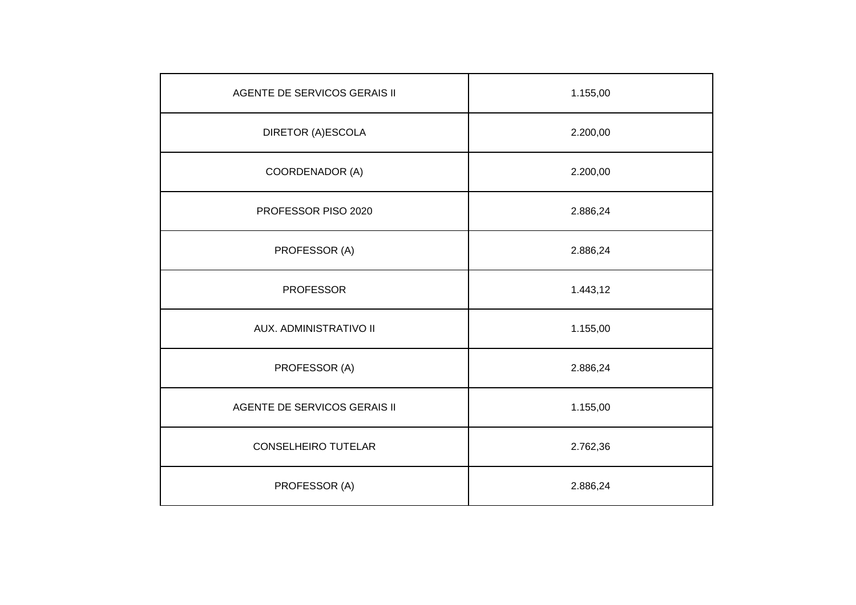| AGENTE DE SERVICOS GERAIS II | 1.155,00 |
|------------------------------|----------|
| DIRETOR (A)ESCOLA            | 2.200,00 |
| COORDENADOR (A)              | 2.200,00 |
| PROFESSOR PISO 2020          | 2.886,24 |
| PROFESSOR (A)                | 2.886,24 |
| <b>PROFESSOR</b>             | 1.443,12 |
| AUX. ADMINISTRATIVO II       | 1.155,00 |
| PROFESSOR (A)                | 2.886,24 |
| AGENTE DE SERVICOS GERAIS II | 1.155,00 |
| <b>CONSELHEIRO TUTELAR</b>   | 2.762,36 |
| PROFESSOR (A)                | 2.886,24 |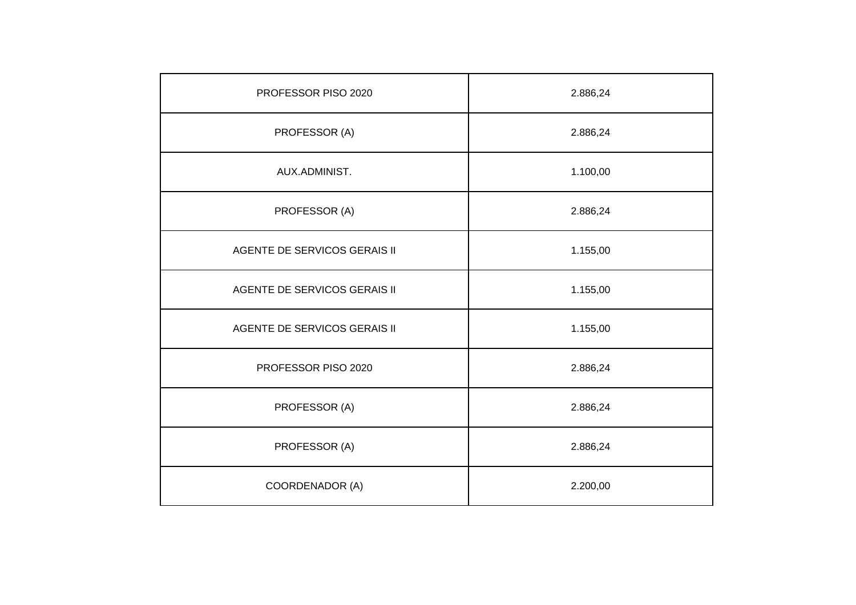| PROFESSOR PISO 2020          | 2.886,24 |
|------------------------------|----------|
| PROFESSOR (A)                | 2.886,24 |
| AUX.ADMINIST.                | 1.100,00 |
| PROFESSOR (A)                | 2.886,24 |
| AGENTE DE SERVICOS GERAIS II | 1.155,00 |
| AGENTE DE SERVICOS GERAIS II | 1.155,00 |
| AGENTE DE SERVICOS GERAIS II | 1.155,00 |
| PROFESSOR PISO 2020          | 2.886,24 |
| PROFESSOR (A)                | 2.886,24 |
| PROFESSOR (A)                | 2.886,24 |
| COORDENADOR (A)              | 2.200,00 |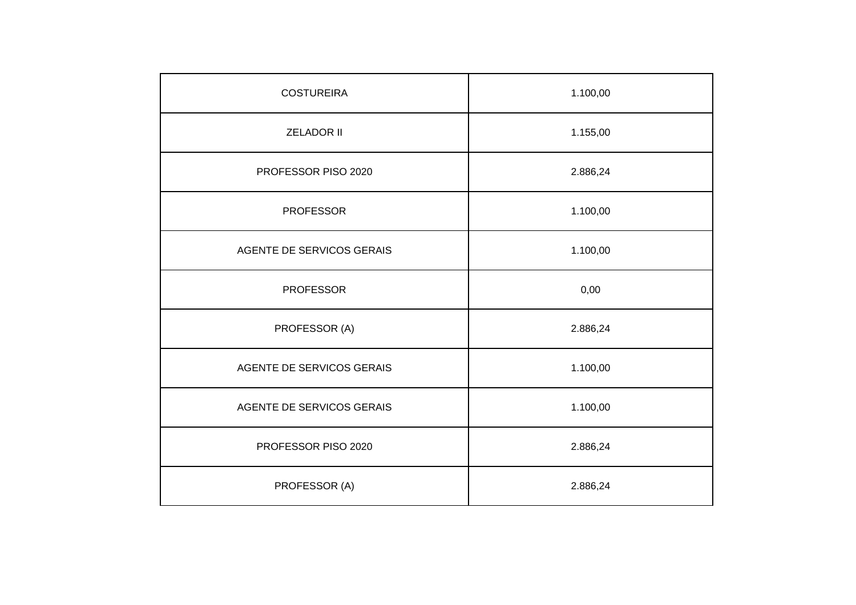| <b>COSTUREIRA</b>         | 1.100,00 |
|---------------------------|----------|
| <b>ZELADOR II</b>         | 1.155,00 |
| PROFESSOR PISO 2020       | 2.886,24 |
| <b>PROFESSOR</b>          | 1.100,00 |
| AGENTE DE SERVICOS GERAIS | 1.100,00 |
| <b>PROFESSOR</b>          | 0,00     |
| PROFESSOR (A)             | 2.886,24 |
| AGENTE DE SERVICOS GERAIS | 1.100,00 |
| AGENTE DE SERVICOS GERAIS | 1.100,00 |
| PROFESSOR PISO 2020       | 2.886,24 |
| PROFESSOR (A)             | 2.886,24 |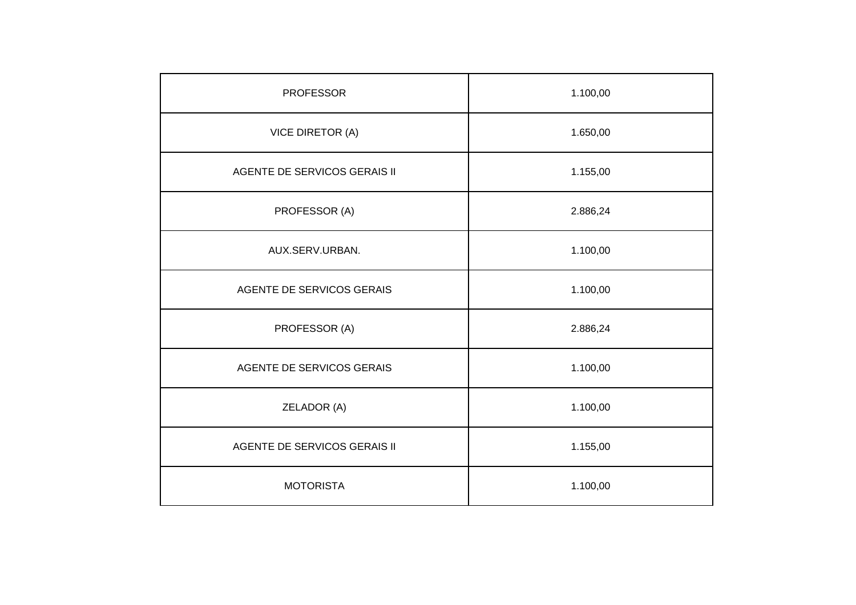| <b>PROFESSOR</b>             | 1.100,00 |
|------------------------------|----------|
| <b>VICE DIRETOR (A)</b>      | 1.650,00 |
| AGENTE DE SERVICOS GERAIS II | 1.155,00 |
| PROFESSOR (A)                | 2.886,24 |
| AUX.SERV.URBAN.              | 1.100,00 |
| AGENTE DE SERVICOS GERAIS    | 1.100,00 |
| PROFESSOR (A)                | 2.886,24 |
| AGENTE DE SERVICOS GERAIS    | 1.100,00 |
| ZELADOR (A)                  | 1.100,00 |
| AGENTE DE SERVICOS GERAIS II | 1.155,00 |
| <b>MOTORISTA</b>             | 1.100,00 |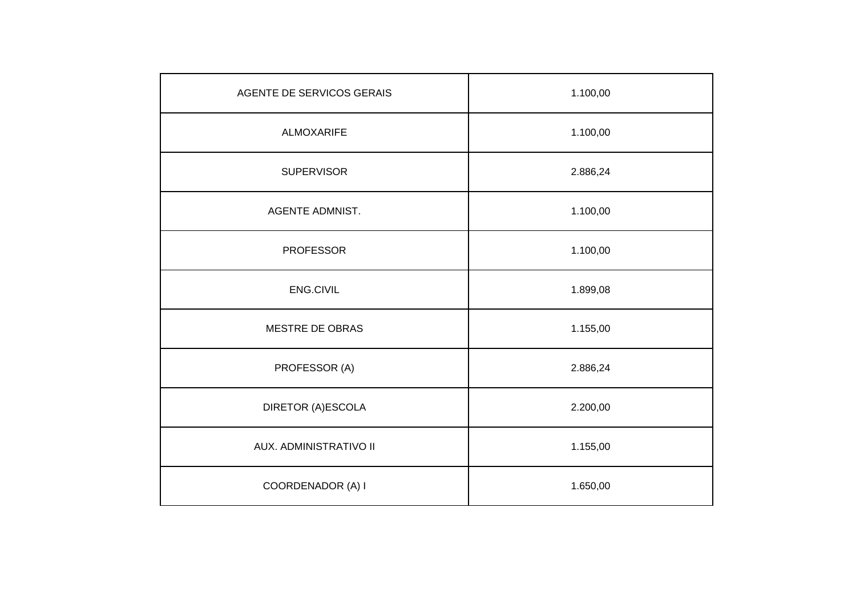| AGENTE DE SERVICOS GERAIS | 1.100,00 |
|---------------------------|----------|
| <b>ALMOXARIFE</b>         | 1.100,00 |
| <b>SUPERVISOR</b>         | 2.886,24 |
| <b>AGENTE ADMNIST.</b>    | 1.100,00 |
| <b>PROFESSOR</b>          | 1.100,00 |
| ENG.CIVIL                 | 1.899,08 |
| MESTRE DE OBRAS           | 1.155,00 |
| PROFESSOR (A)             | 2.886,24 |
| DIRETOR (A)ESCOLA         | 2.200,00 |
| AUX. ADMINISTRATIVO II    | 1.155,00 |
| COORDENADOR (A) I         | 1.650,00 |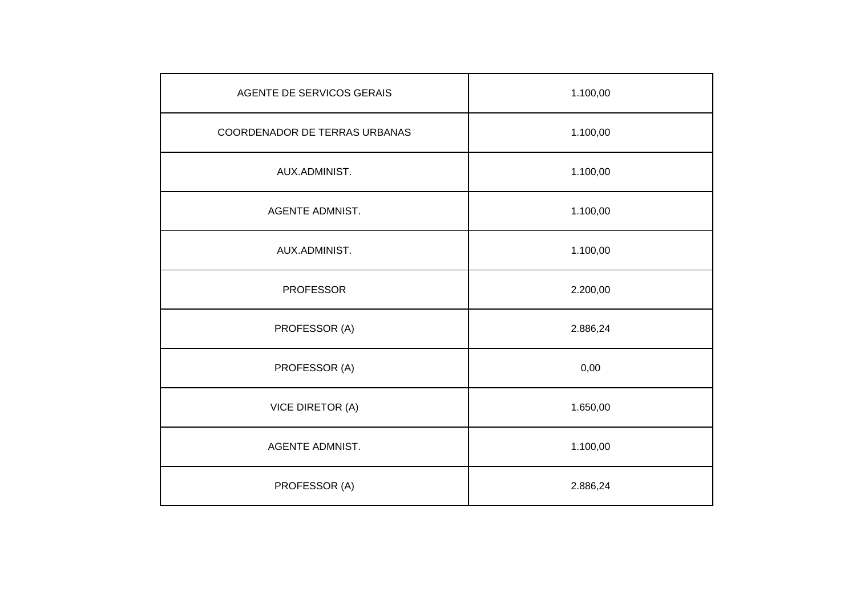| AGENTE DE SERVICOS GERAIS     | 1.100,00 |
|-------------------------------|----------|
| COORDENADOR DE TERRAS URBANAS | 1.100,00 |
| AUX.ADMINIST.                 | 1.100,00 |
| <b>AGENTE ADMNIST.</b>        | 1.100,00 |
| AUX.ADMINIST.                 | 1.100,00 |
| <b>PROFESSOR</b>              | 2.200,00 |
| PROFESSOR (A)                 | 2.886,24 |
| PROFESSOR (A)                 | 0,00     |
| VICE DIRETOR (A)              | 1.650,00 |
| <b>AGENTE ADMNIST.</b>        | 1.100,00 |
| PROFESSOR (A)                 | 2.886,24 |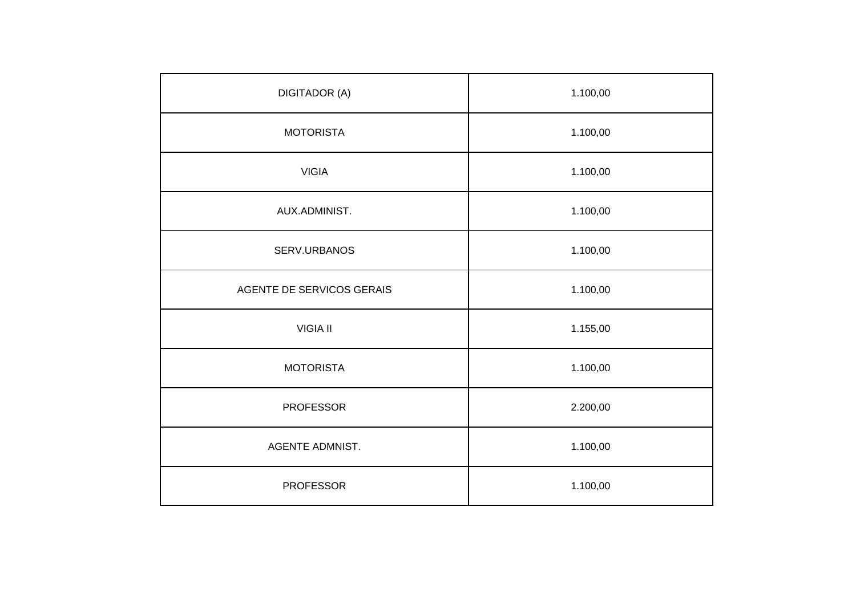| <b>DIGITADOR (A)</b>      | 1.100,00 |
|---------------------------|----------|
| <b>MOTORISTA</b>          | 1.100,00 |
| <b>VIGIA</b>              | 1.100,00 |
| AUX.ADMINIST.             | 1.100,00 |
| SERV.URBANOS              | 1.100,00 |
| AGENTE DE SERVICOS GERAIS | 1.100,00 |
| <b>VIGIA II</b>           | 1.155,00 |
| <b>MOTORISTA</b>          | 1.100,00 |
| <b>PROFESSOR</b>          | 2.200,00 |
| <b>AGENTE ADMNIST.</b>    | 1.100,00 |
| <b>PROFESSOR</b>          | 1.100,00 |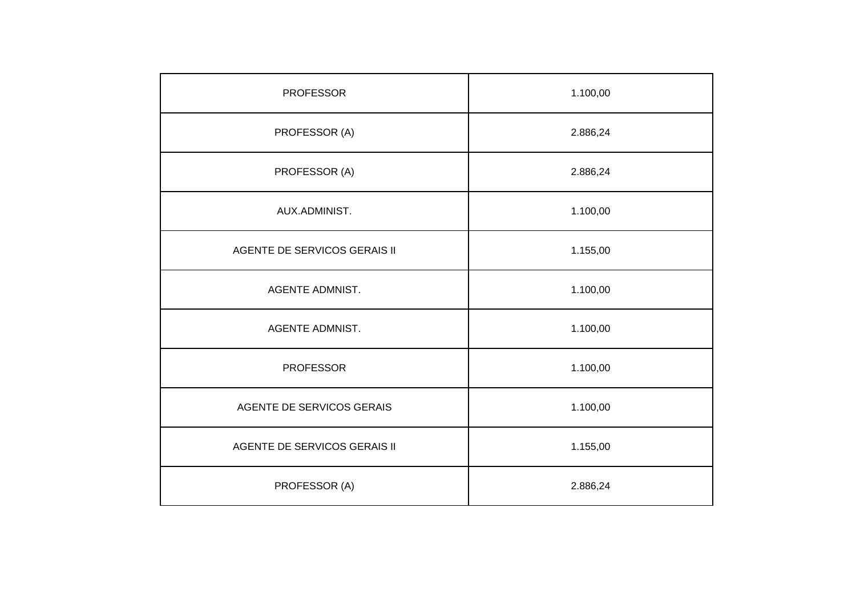| <b>PROFESSOR</b>             | 1.100,00 |
|------------------------------|----------|
| PROFESSOR (A)                | 2.886,24 |
| PROFESSOR (A)                | 2.886,24 |
| AUX.ADMINIST.                | 1.100,00 |
| AGENTE DE SERVICOS GERAIS II | 1.155,00 |
| <b>AGENTE ADMNIST.</b>       | 1.100,00 |
| <b>AGENTE ADMNIST.</b>       | 1.100,00 |
| <b>PROFESSOR</b>             | 1.100,00 |
| AGENTE DE SERVICOS GERAIS    | 1.100,00 |
| AGENTE DE SERVICOS GERAIS II | 1.155,00 |
| PROFESSOR (A)                | 2.886,24 |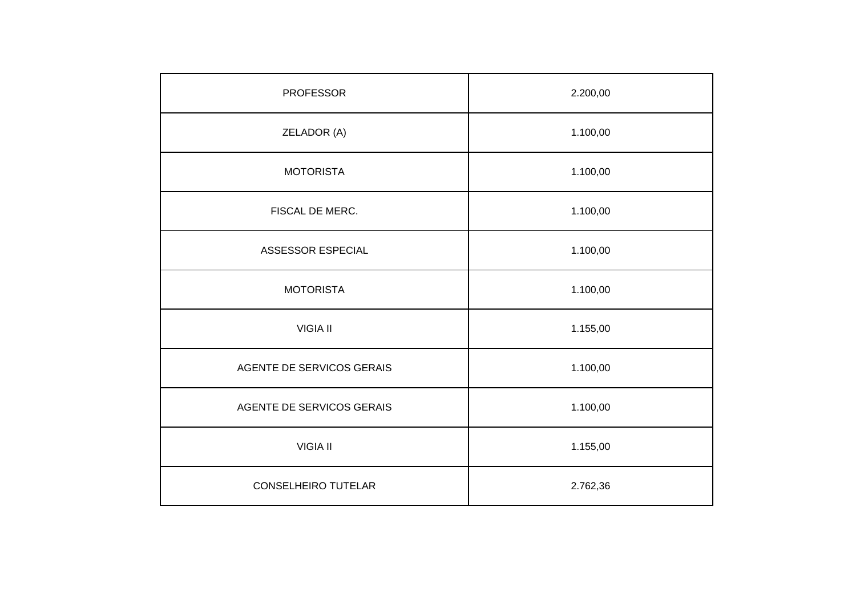| <b>PROFESSOR</b>          | 2.200,00 |
|---------------------------|----------|
| ZELADOR (A)               | 1.100,00 |
| <b>MOTORISTA</b>          | 1.100,00 |
| FISCAL DE MERC.           | 1.100,00 |
| ASSESSOR ESPECIAL         | 1.100,00 |
| <b>MOTORISTA</b>          | 1.100,00 |
| <b>VIGIA II</b>           | 1.155,00 |
| AGENTE DE SERVICOS GERAIS | 1.100,00 |
| AGENTE DE SERVICOS GERAIS | 1.100,00 |
| <b>VIGIA II</b>           | 1.155,00 |
| CONSELHEIRO TUTELAR       | 2.762,36 |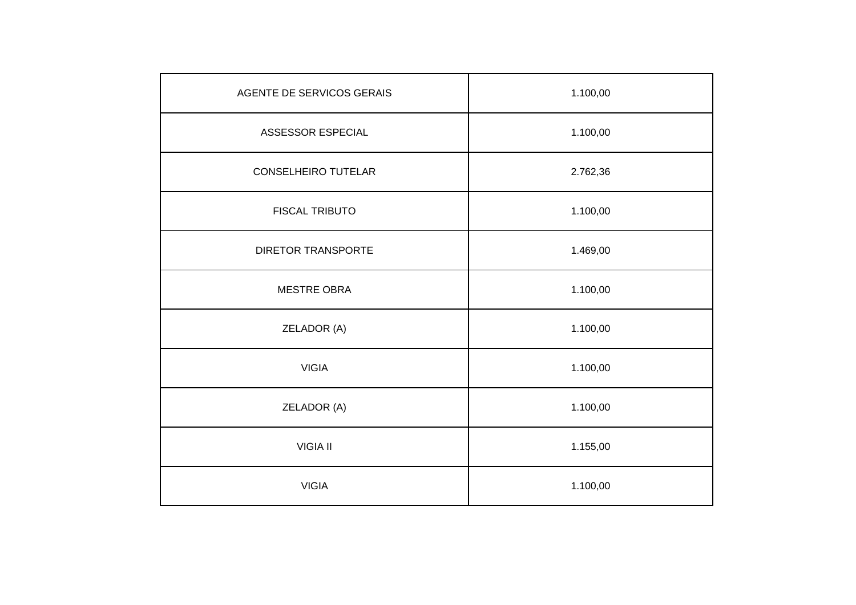| AGENTE DE SERVICOS GERAIS  | 1.100,00 |
|----------------------------|----------|
| ASSESSOR ESPECIAL          | 1.100,00 |
| <b>CONSELHEIRO TUTELAR</b> | 2.762,36 |
| <b>FISCAL TRIBUTO</b>      | 1.100,00 |
| <b>DIRETOR TRANSPORTE</b>  | 1.469,00 |
| <b>MESTRE OBRA</b>         | 1.100,00 |
| ZELADOR (A)                | 1.100,00 |
| <b>VIGIA</b>               | 1.100,00 |
| ZELADOR (A)                | 1.100,00 |
| <b>VIGIA II</b>            | 1.155,00 |
| <b>VIGIA</b>               | 1.100,00 |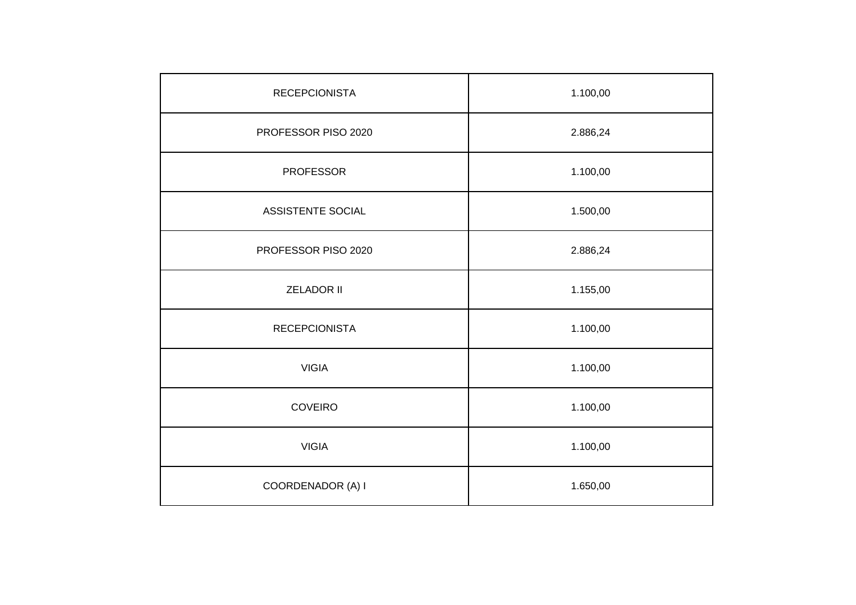| <b>RECEPCIONISTA</b>     | 1.100,00 |
|--------------------------|----------|
| PROFESSOR PISO 2020      | 2.886,24 |
| <b>PROFESSOR</b>         | 1.100,00 |
| <b>ASSISTENTE SOCIAL</b> | 1.500,00 |
| PROFESSOR PISO 2020      | 2.886,24 |
| <b>ZELADOR II</b>        | 1.155,00 |
| <b>RECEPCIONISTA</b>     | 1.100,00 |
| <b>VIGIA</b>             | 1.100,00 |
| <b>COVEIRO</b>           | 1.100,00 |
| <b>VIGIA</b>             | 1.100,00 |
| COORDENADOR (A) I        | 1.650,00 |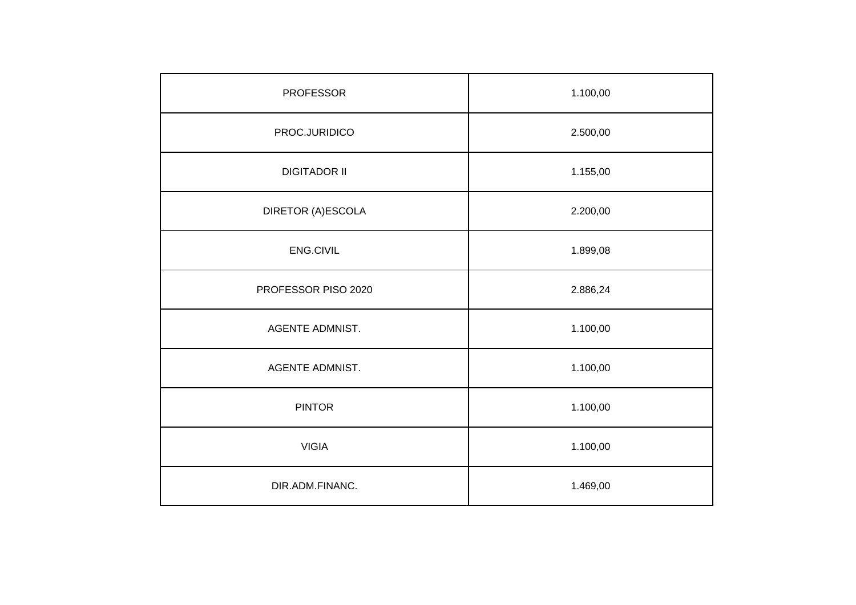| <b>PROFESSOR</b>       | 1.100,00 |
|------------------------|----------|
| PROC.JURIDICO          | 2.500,00 |
| <b>DIGITADOR II</b>    | 1.155,00 |
| DIRETOR (A)ESCOLA      | 2.200,00 |
| ENG.CIVIL              | 1.899,08 |
| PROFESSOR PISO 2020    | 2.886,24 |
| <b>AGENTE ADMNIST.</b> | 1.100,00 |
| <b>AGENTE ADMNIST.</b> | 1.100,00 |
| <b>PINTOR</b>          | 1.100,00 |
| <b>VIGIA</b>           | 1.100,00 |
| DIR.ADM.FINANC.        | 1.469,00 |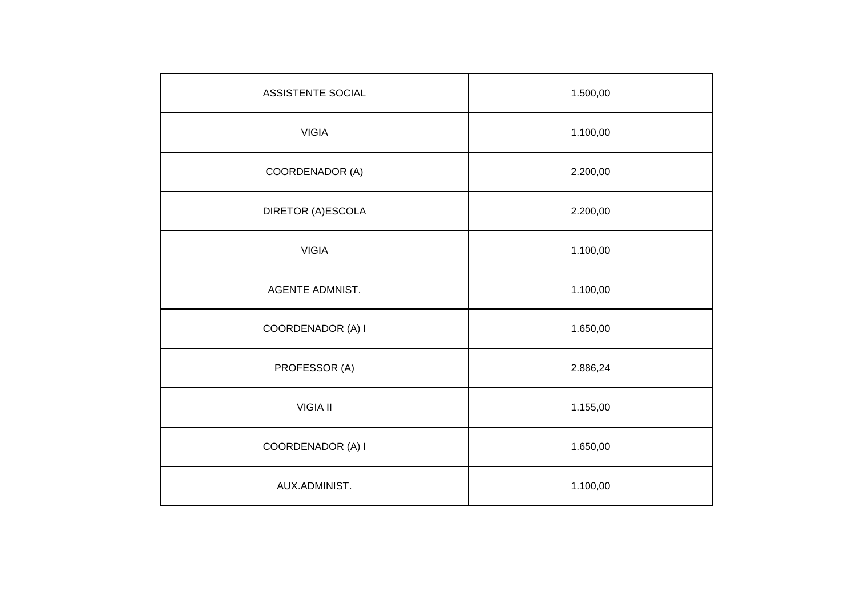| ASSISTENTE SOCIAL | 1.500,00 |
|-------------------|----------|
| <b>VIGIA</b>      | 1.100,00 |
| COORDENADOR (A)   | 2.200,00 |
| DIRETOR (A)ESCOLA | 2.200,00 |
| <b>VIGIA</b>      | 1.100,00 |
| AGENTE ADMNIST.   | 1.100,00 |
| COORDENADOR (A) I | 1.650,00 |
| PROFESSOR (A)     | 2.886,24 |
| <b>VIGIA II</b>   | 1.155,00 |
| COORDENADOR (A) I | 1.650,00 |
| AUX.ADMINIST.     | 1.100,00 |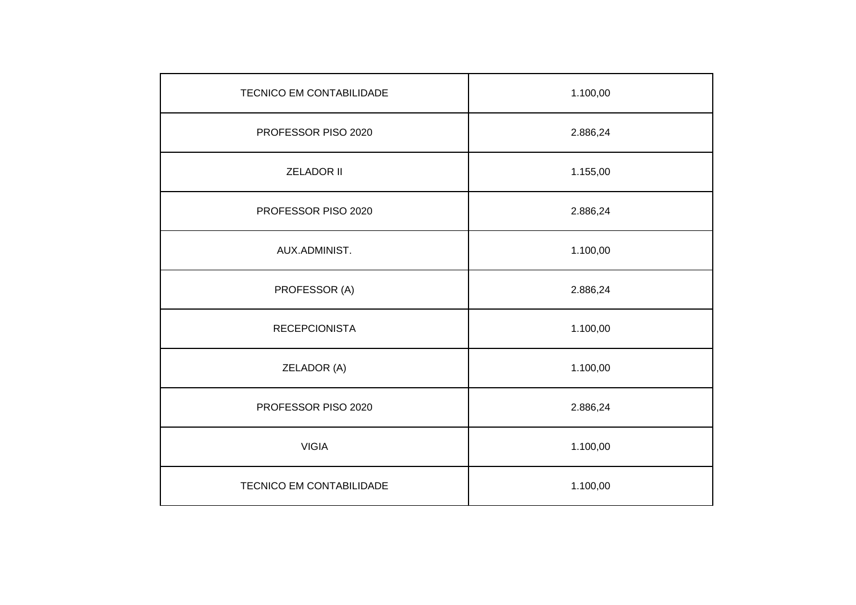| <b>TECNICO EM CONTABILIDADE</b> | 1.100,00 |
|---------------------------------|----------|
| PROFESSOR PISO 2020             | 2.886,24 |
| <b>ZELADOR II</b>               | 1.155,00 |
| PROFESSOR PISO 2020             | 2.886,24 |
| AUX.ADMINIST.                   | 1.100,00 |
| PROFESSOR (A)                   | 2.886,24 |
| <b>RECEPCIONISTA</b>            | 1.100,00 |
| ZELADOR (A)                     | 1.100,00 |
| PROFESSOR PISO 2020             | 2.886,24 |
| <b>VIGIA</b>                    | 1.100,00 |
| TECNICO EM CONTABILIDADE        | 1.100,00 |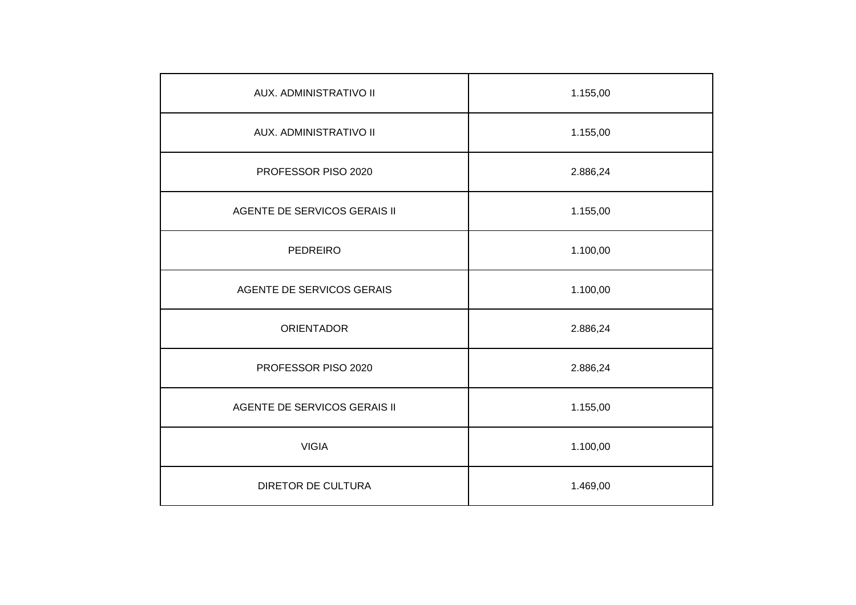| AUX. ADMINISTRATIVO II              | 1.155,00 |
|-------------------------------------|----------|
| AUX. ADMINISTRATIVO II              | 1.155,00 |
| PROFESSOR PISO 2020                 | 2.886,24 |
| AGENTE DE SERVICOS GERAIS II        | 1.155,00 |
| <b>PEDREIRO</b>                     | 1.100,00 |
| AGENTE DE SERVICOS GERAIS           | 1.100,00 |
| <b>ORIENTADOR</b>                   | 2.886,24 |
| PROFESSOR PISO 2020                 | 2.886,24 |
| <b>AGENTE DE SERVICOS GERAIS II</b> | 1.155,00 |
| <b>VIGIA</b>                        | 1.100,00 |
| <b>DIRETOR DE CULTURA</b>           | 1.469,00 |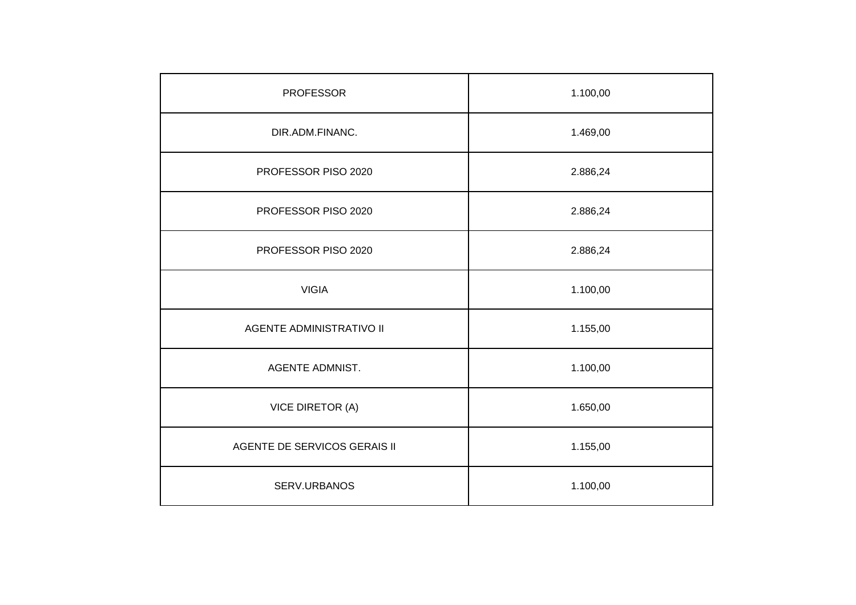| <b>PROFESSOR</b>                | 1.100,00 |
|---------------------------------|----------|
| DIR.ADM.FINANC.                 | 1.469,00 |
| PROFESSOR PISO 2020             | 2.886,24 |
| PROFESSOR PISO 2020             | 2.886,24 |
| PROFESSOR PISO 2020             | 2.886,24 |
| <b>VIGIA</b>                    | 1.100,00 |
| <b>AGENTE ADMINISTRATIVO II</b> | 1.155,00 |
| AGENTE ADMNIST.                 | 1.100,00 |
| <b>VICE DIRETOR (A)</b>         | 1.650,00 |
| AGENTE DE SERVICOS GERAIS II    | 1.155,00 |
| SERV.URBANOS                    | 1.100,00 |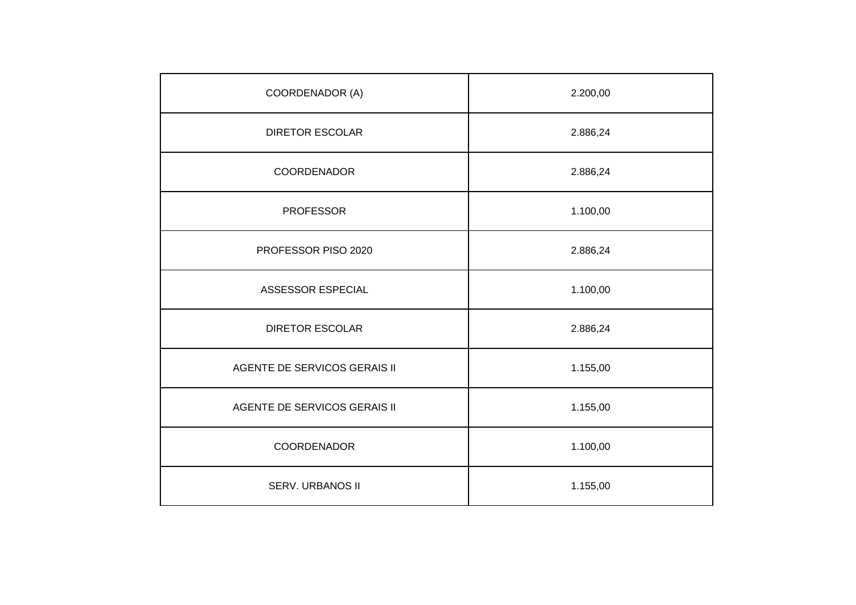| COORDENADOR (A)                     | 2.200,00 |
|-------------------------------------|----------|
| <b>DIRETOR ESCOLAR</b>              | 2.886,24 |
| COORDENADOR                         | 2.886,24 |
| <b>PROFESSOR</b>                    | 1.100,00 |
| PROFESSOR PISO 2020                 | 2.886,24 |
| ASSESSOR ESPECIAL                   | 1.100,00 |
| <b>DIRETOR ESCOLAR</b>              | 2.886,24 |
| <b>AGENTE DE SERVICOS GERAIS II</b> | 1.155,00 |
| AGENTE DE SERVICOS GERAIS II        | 1.155,00 |
| COORDENADOR                         | 1.100,00 |
| SERV. URBANOS II                    | 1.155,00 |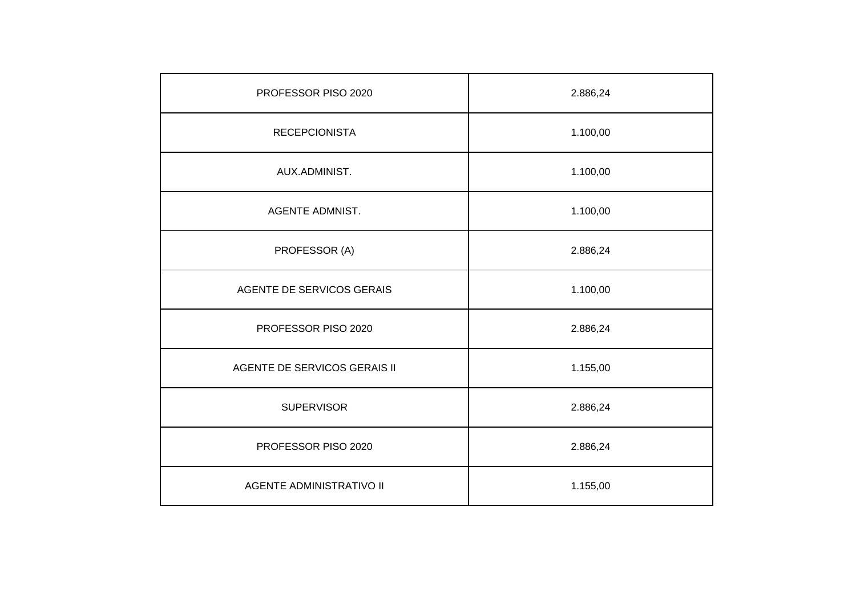| PROFESSOR PISO 2020          | 2.886,24 |
|------------------------------|----------|
| <b>RECEPCIONISTA</b>         | 1.100,00 |
| AUX.ADMINIST.                | 1.100,00 |
| <b>AGENTE ADMNIST.</b>       | 1.100,00 |
| PROFESSOR (A)                | 2.886,24 |
| AGENTE DE SERVICOS GERAIS    | 1.100,00 |
| PROFESSOR PISO 2020          | 2.886,24 |
| AGENTE DE SERVICOS GERAIS II | 1.155,00 |
| <b>SUPERVISOR</b>            | 2.886,24 |
| PROFESSOR PISO 2020          | 2.886,24 |
| AGENTE ADMINISTRATIVO II     | 1.155,00 |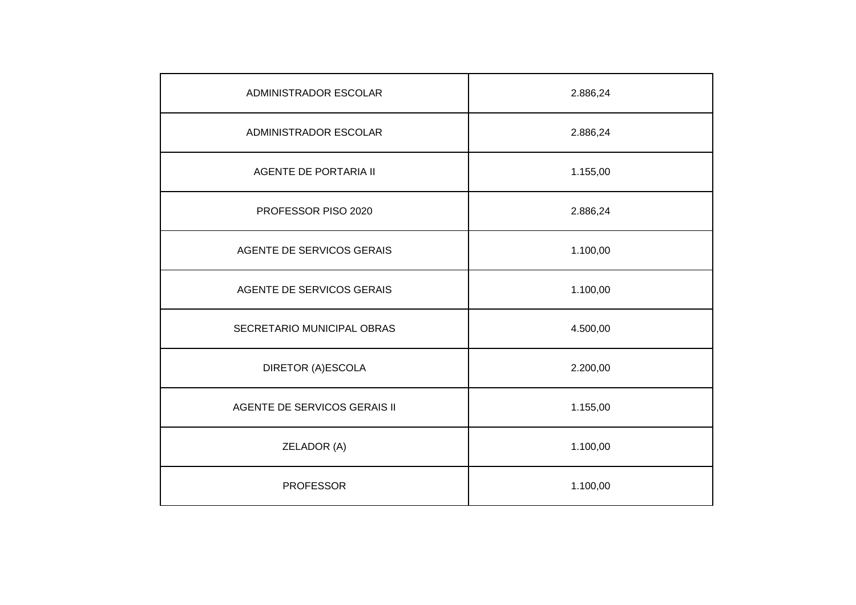| ADMINISTRADOR ESCOLAR        | 2.886,24 |
|------------------------------|----------|
| ADMINISTRADOR ESCOLAR        | 2.886,24 |
| <b>AGENTE DE PORTARIA II</b> | 1.155,00 |
| PROFESSOR PISO 2020          | 2.886,24 |
| AGENTE DE SERVICOS GERAIS    | 1.100,00 |
| AGENTE DE SERVICOS GERAIS    | 1.100,00 |
| SECRETARIO MUNICIPAL OBRAS   | 4.500,00 |
| DIRETOR (A)ESCOLA            | 2.200,00 |
| AGENTE DE SERVICOS GERAIS II | 1.155,00 |
| ZELADOR (A)                  | 1.100,00 |
| <b>PROFESSOR</b>             | 1.100,00 |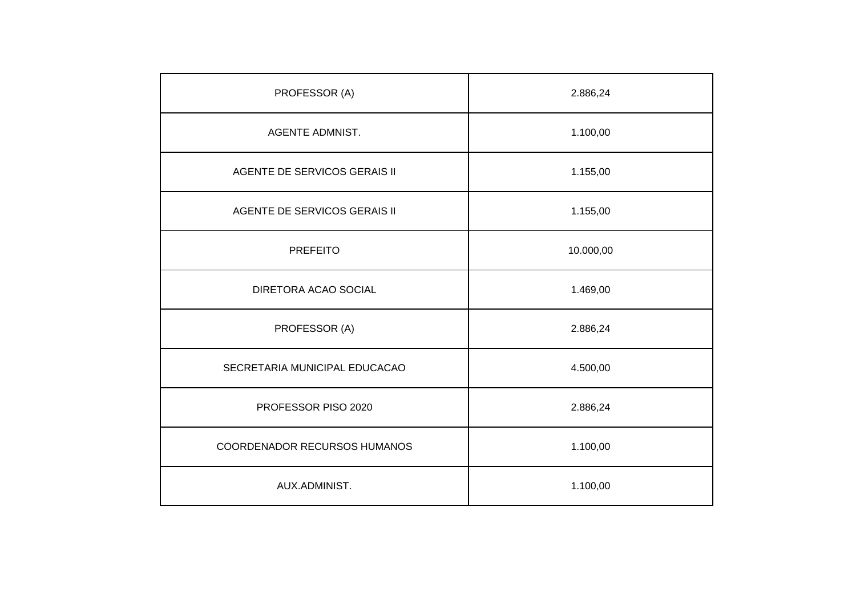| PROFESSOR (A)                 | 2.886,24  |
|-------------------------------|-----------|
| <b>AGENTE ADMNIST.</b>        | 1.100,00  |
| AGENTE DE SERVICOS GERAIS II  | 1.155,00  |
| AGENTE DE SERVICOS GERAIS II  | 1.155,00  |
| <b>PREFEITO</b>               | 10.000,00 |
| DIRETORA ACAO SOCIAL          | 1.469,00  |
| PROFESSOR (A)                 | 2.886,24  |
| SECRETARIA MUNICIPAL EDUCACAO | 4.500,00  |
| PROFESSOR PISO 2020           | 2.886,24  |
| COORDENADOR RECURSOS HUMANOS  | 1.100,00  |
| AUX.ADMINIST.                 | 1.100,00  |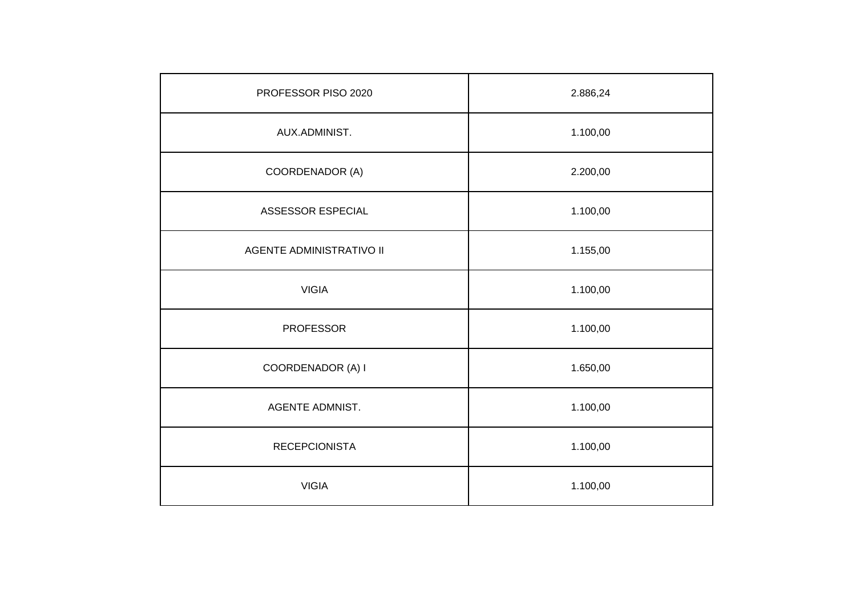| PROFESSOR PISO 2020             | 2.886,24 |
|---------------------------------|----------|
| AUX.ADMINIST.                   | 1.100,00 |
| COORDENADOR (A)                 | 2.200,00 |
| ASSESSOR ESPECIAL               | 1.100,00 |
| <b>AGENTE ADMINISTRATIVO II</b> | 1.155,00 |
| <b>VIGIA</b>                    | 1.100,00 |
| <b>PROFESSOR</b>                | 1.100,00 |
| COORDENADOR (A) I               | 1.650,00 |
| <b>AGENTE ADMNIST.</b>          | 1.100,00 |
| <b>RECEPCIONISTA</b>            | 1.100,00 |
| <b>VIGIA</b>                    | 1.100,00 |